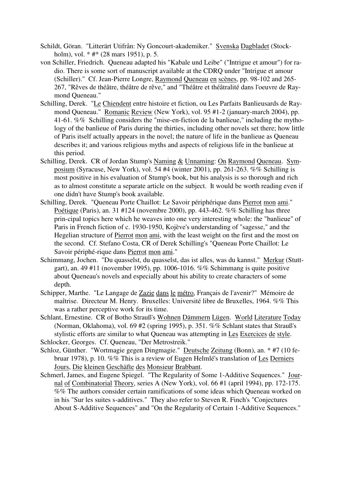- Schildt, Göran. "Litterärt Utifrån: Ny Goncourt-akademiker." Svenska Dagbladet (Stockholm), vol. \* #\* (28 mars 1951), p. 5.
- von Schiller, Friedrich. Queneau adapted his "Kabale und Leibe" ("Intrigue et amour") for radio. There is some sort of manuscript available at the CDRQ under "Intrigue et amour (Schiller)." Cf. Jean-Pierre Longre, Raymond Queneau en scènes, pp. 98-102 and 265- 267, "Rêves de théâtre, théâtre de rêve," and "Théâtre et théâtralité dans l'oeuvre de Raymond Queneau."
- Schilling, Derek. "Le Chiendent entre histoire et fiction, ou Les Parfaits Banlieusards de Raymond Queneau." Romanic Review (New York), vol. 95 #1-2 (january-march 2004), pp. 41-61. %% Schilling considers the "mise-en-fiction de la banlieue," including the mythology of the banlieue of Paris during the thirties, including other novels set there; how little of Paris itself actually appears in the novel; the nature of life in the banlieue as Queneau describes it; and various religious myths and aspects of religious life in the banlieue at this period.
- Schilling, Derek. CR of Jordan Stump's Naming & Unnaming: On Raymond Queneau. Symposium (Syracuse, New York), vol. 54 #4 (winter 2001), pp. 261-263. %% Schilling is most positive in his evaluation of Stump's book, but his analysis is so thorough and rich as to almost constitute a separate article on the subject. It would be worth reading even if one didn't have Stump's book available.
- Schilling, Derek. "Queneau Porte Chaillot: Le Savoir périphérique dans Pierrot mon ami." Poétique (Paris), an. 31 #124 (novembre 2000), pp. 443-462. %% Schilling has three prin-cipal topics here which he weaves into one very interesting whole: the "banlieue" of Paris in French fiction of c. 1930-1950, Kojève's understanding of "sagesse," and the Hegelian structure of Pierrot mon ami, with the least weight on the first and the most on the second. Cf. Stefano Costa, CR of Derek Schilling's "Queneau Porte Chaillot: Le Savoir périphé-rique dans Pierrot mon ami."
- Schimmang, Jochen. "Du quasselst, du quasselst, das ist alles, was du kannst." Merkur (Stuttgart), an. 49 #11 (november 1995), pp. 1006-1016. %% Schimmang is quite positive about Queneau's novels and especially about his ability to create characters of some depth.
- Schipper, Marthe. "Le Langage de Zazie dans le métro, Français de l'avenir?" Mémoire de maîtrise. Directeur M. Henry. Bruxelles: Université libre de Bruxelles, 1964. %% This was a rather perceptive work for its time.
- Schlant, Ernestine. CR of Botho Strauß's Wohnen Dämmern Lügen. World Literature Today (Norman, Oklahoma), vol. 69 #2 (spring 1995), p. 351. %% Schlant states that Strauß's stylistic efforts are similar to what Queneau was attempting in Les Exercices de style.
- Schlocker, Georges. Cf. Queneau, "Der Metrostreik."
- Schloz, Günther. "Wortmagie gegen Dingmagie." Deutsche Zeitung (Bonn), an. \* #7 (10 februar 1978), p. 10. %% This is a review of Eugen Helmlé's translation of Les Derniers Jours, Die kleinen Geschäfte des Monsieur Brabbant.
- Schmerl, James, and Eugene Spiegel. "The Regularity of Some 1-Additive Sequences." Journal of Combinatorial Theory, series A (New York), vol. 66 #1 (april 1994), pp. 172-175. %% The authors consider certain ramifications of some ideas which Queneau worked on in his "Sur les suites s-additives." They also refer to Steven R. Finch's "Conjectures About S-Additive Sequences" and "On the Regularity of Certain 1-Additive Sequences."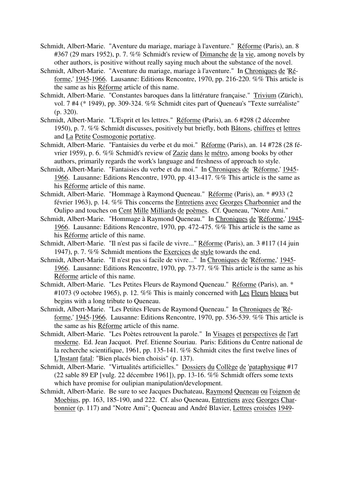- Schmidt, Albert-Marie. "Aventure du mariage, mariage à l'aventure." Réforme (Paris), an. 8 #367 (29 mars 1952), p. 7. %% Schmidt's review of Dimanche de la vie, among novels by other authors, is positive without really saying much about the substance of the novel.
- Schmidt, Albert-Marie. "Aventure du mariage, mariage à l'aventure." In Chroniques de 'Réforme,' 1945-1966. Lausanne: Editions Rencontre, 1970, pp. 216-220. %% This article is the same as his Réforme article of this name.
- Schmidt, Albert-Marie. "Constantes baroques dans la littérature française." Trivium (Zürich), vol. 7 #4 (\* 1949), pp. 309-324. %% Schmidt cites part of Queneau's "Texte surréaliste" (p. 320).
- Schmidt, Albert-Marie. "L'Esprit et les lettres." Réforme (Paris), an. 6 #298 (2 décembre 1950), p. 7. %% Schmidt discusses, positively but briefly, both Bâtons, chiffres et lettres and La Petite Cosmogonie portative.
- Schmidt, Albert-Marie. "Fantaisies du verbe et du moi." Réforme (Paris), an. 14 #728 (28 février 1959), p. 6. %% Schmidt's review of Zazie dans le métro, among books by other authors, primarily regards the work's language and freshness of approach to style.
- Schmidt, Albert-Marie. "Fantaisies du verbe et du moi." In Chroniques de 'Réforme,' 1945- 1966. Lausanne: Editions Rencontre, 1970, pp. 413-417. %% This article is the same as his Réforme article of this name.
- Schmidt, Albert-Marie. "Hommage à Raymond Queneau." Réforme (Paris), an. \* #933 (2 février 1963), p. 14. %% This concerns the Entretiens avec Georges Charbonnier and the Oulipo and touches on Cent Mille Milliards de poèmes. Cf. Queneau, "Notre Ami."
- Schmidt, Albert-Marie. "Hommage à Raymond Queneau." In Chroniques de 'Réforme,' 1945- 1966. Lausanne: Editions Rencontre, 1970, pp. 472-475. %% This article is the same as his Réforme article of this name.
- Schmidt, Albert-Marie. "Il n'est pas si facile de vivre..." Réforme (Paris), an. 3 #117 (14 juin 1947), p. 7. %% Schmidt mentions the Exercices de style towards the end.
- Schmidt, Albert-Marie. "Il n'est pas si facile de vivre..." In Chroniques de 'Réforme,' 1945- 1966. Lausanne: Editions Rencontre, 1970, pp. 73-77. %% This article is the same as his Réforme article of this name.
- Schmidt, Albert-Marie. "Les Petites Fleurs de Raymond Queneau." Réforme (Paris), an. \* #1073 (9 octobre 1965), p. 12. %% This is mainly concerned with Les Fleurs bleues but begins with a long tribute to Queneau.
- Schmidt, Albert-Marie. "Les Petites Fleurs de Raymond Queneau." In Chroniques de 'Réforme,' 1945-1966. Lausanne: Editions Rencontre, 1970, pp. 536-539. %% This article is the same as his Réforme article of this name.
- Schmidt, Albert-Marie. "Les Poètes retrouvent la parole." In Visages et perspectives de l'art moderne. Ed. Jean Jacquot. Pref. Etienne Souriau. Paris: Editions du Centre national de la recherche scientifique, 1961, pp. 135-141. %% Schmidt cites the first twelve lines of L'Instant fatal: "Bien placés bien choisis" (p. 137).
- Schmidt, Albert-Marie. "Virtualités artificielles." Dossiers du Collège de 'pataphysique #17 (22 sable 89 EP [vulg. 22 décembre 1961]), pp. 13-16. %% Schmidt offers some texts which have promise for oulipian manipulation/development.
- Schmidt, Albert-Marie. Be sure to see Jacques Duchateau, Raymond Queneau ou l'oignon de Moebius, pp. 163, 185-190, and 222. Cf. also Queneau, Entretiens avec Georges Charbonnier (p. 117) and "Notre Ami"; Queneau and André Blavier, Lettres croisées 1949-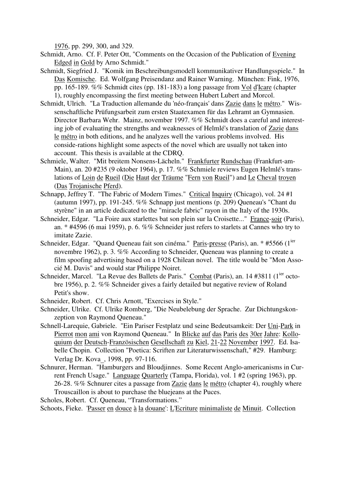1976, pp. 299, 300, and 329.

- Schmidt, Arno. Cf. F. Peter Ott, "Comments on the Occasion of the Publication of Evening Edged in Gold by Arno Schmidt."
- Schmidt, Siegfried J. "Komik im Beschreibungsmodell kommunikativer Handlungsspiele." In Das Komische. Ed. Wolfgang Preisendanz and Rainer Warning. München: Fink, 1976, pp. 165-189. %% Schmidt cites (pp. 181-183) a long passage from Vol d'Icare (chapter 1), roughly encompassing the first meeting between Hubert Lubert and Morcol.
- Schmidt, Ulrich. "La Traduction allemande du 'néo-français' dans Zazie dans le métro." Wissenschaftliche Prüfungsarbeit zum ersten Staatexamen für das Lehramt an Gymnasien. Director Barbara Wehr. Mainz, november 1997. %% Schmidt does a careful and interesting job of evaluating the strengths and weaknesses of Helmlé's translation of Zazie dans le métro in both editions, and he analyzes well the various problems involved. His conside-rations highlight some aspects of the novel which are usually not taken into account. This thesis is available at the CDRQ.
- Schmiele, Walter. "Mit breitem Nonsens-Lächeln." Frankfurter Rundschau (Frankfurt-am-Main), an. 20 #235 (9 oktober 1964), p. 17. %% Schmiele reviews Eugen Helmlé's translations of Loin de Rueil (Die Haut der Träume "Fern von Rueil") and Le Cheval troyen (Das Trojanische Pferd).
- Schnapp, Jeffrey T. "The Fabric of Modern Times." Critical Inquiry (Chicago), vol. 24 #1 (autumn 1997), pp. 191-245. %% Schnapp just mentions (p. 209) Queneau's "Chant du styrène" in an article dedicated to the "miracle fabric" rayon in the Italy of the 1930s.
- Schneider, Edgar. "La Foire aux starlettes bat son plein sur la Croisette..." France-soir (Paris), an. \* #4596 (6 mai 1959), p. 6. %% Schneider just refers to starlets at Cannes who try to imitate Zazie.
- Schneider, Edgar. "Quand Queneau fait son cinéma." Paris-presse (Paris), an. \* #5566 (1<sup>ier</sup> novembre 1962), p. 3. %% According to Schneider, Queneau was planning to create a film spoofing advertising based on a 1928 Chilean novel. The title would be "Mon Associé M. Davis" and would star Philippe Noiret.
- Schneider, Marcel. "La Revue des Ballets de Paris." Combat (Paris), an. 14 #3811 (1<sup>ier</sup> octobre 1956), p. 2. %% Schneider gives a fairly detailed but negative review of Roland Petit's show.
- Schneider, Robert. Cf. Chris Arnott, "Exercises in Style."
- Schneider, Ulrike. Cf. Ulrike Romberg, "Die Neubelebung der Sprache. Zur Dichtungskonzeption von Raymond Queneau."
- Schnell-Larequie, Gabriele. "Ein Pariser Festplatz und seine Bedeutsamkeit: Der Uni-Park in Pierrot mon ami von Raymond Queneau." In Blicke auf das Paris des 30er Jahre: Kolloquium der Deutsch-Französischen Gesellschaft zu Kiel, 21-22 November 1997. Ed. Isabelle Chopin. Collection "Poetica: Scriften zur Literaturwissenschaft," #29. Hamburg: Verlag Dr. Kova\_, 1998, pp. 97-116.
- Schnurer, Herman. "Hamburgers and Bloudjinnes. Some Recent Anglo-americanisms in Current French Usage." Language Quarterly (Tampa, Florida), vol. 1 #2 (spring 1963), pp. 26-28. %% Schnurer cites a passage from Zazie dans le métro (chapter 4), roughly where Trouscaillon is about to purchase the bluejeans at the Puces.

Scholes, Robert. Cf. Queneau, "Transformations."

Schoots, Fieke. 'Passer en douce à la douane': L'Ecriture minimaliste de Minuit. Collection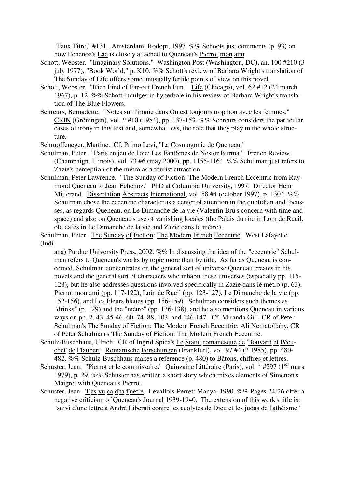"Faux Titre," #131. Amsterdam: Rodopi, 1997. %% Schoots just comments (p. 93) on how Echenoz's Lac is closely attached to Queneau's Pierrot mon ami.

- Schott, Webster. "Imaginary Solutions." Washington Post (Washington, DC), an. 100 #210 (3 july 1977), "Book World," p. K10. %% Schott's review of Barbara Wright's translation of The Sunday of Life offers some unusually fertile points of view on this novel.
- Schott, Webster. "Rich Find of Far-out French Fun." Life (Chicago), vol. 62 #12 (24 march 1967), p. 12. %% Schott indulges in hyperbole in his review of Barbara Wright's translation of The Blue Flowers.
- Schreurs, Bernadette. "Notes sur l'ironie dans On est toujours trop bon avec les femmes." CRIN (Gröningen), vol. \* #10 (1984), pp. 137-153. %% Schreurs considers the particular cases of irony in this text and, somewhat less, the role that they play in the whole structure.

Schruoffeneger, Martine. Cf. Primo Levi, "La Cosmogonie de Queneau."

- Schulman, Peter. "Paris en jeu de l'oie: Les Fantômes de Nestor Burma." French Review (Champaign, Illinois), vol. 73 #6 (may 2000), pp. 1155-1164. %% Schulman just refers to Zazie's perception of the métro as a tourist attraction.
- Schulman, Peter Lawrence. "The Sunday of Fiction: The Modern French Eccentric from Raymond Queneau to Jean Echenoz." PhD at Columbia University, 1997. Director Henri Mitterand. Dissertation Abstracts International, vol. 58 #4 (october 1997), p. 1304. %% Schulman chose the eccentric character as a center of attention in the quotidian and focusses, as regards Queneau, on Le Dimanche de la vie (Valentin Brû's concern with time and space) and also on Queneau's use of vanishing locales (the Palais du rire in Loin de Rueil, old cafés in Le Dimanche de la vie and Zazie dans le métro).

Schulman, Peter. The Sunday of Fiction: The Modern French Eccentric. West Lafayette (Indi-

ana):Purdue University Press, 2002. %% In discussing the idea of the "eccentric" Schulman refers to Queneau's works by topic more than by title. As far as Queneau is concerned, Schulman concentrates on the general sort of universe Queneau creates in his novels and the general sort of characters who inhabit these universes (especially pp. 115- 128), but he also addresses questions involved specifically in Zazie dans le métro (p. 63), Pierrot mon ami (pp. 117-122), Loin de Rueil (pp. 123-127), Le Dimanche de la vie (pp. 152-156), and Les Fleurs bleues (pp. 156-159). Schulman considers such themes as "drinks" (p. 129) and the "métro" (pp. 136-138), and he also mentions Queneau in various ways on pp. 2, 43, 45-46, 60, 74, 88, 103, and 146-147. Cf. Miranda Gill, CR of Peter Schulman's The Sunday of Fiction: The Modern French Eccentric; Ali Nematollahy, CR of Peter Schulman's The Sunday of Fiction: The Modern French Eccentric.

- Schulz-Buschhaus, Ulrich. CR of Ingrid Spica's Le Statut romanesque de 'Bouvard et Pécuchet' de Flaubert. Romanische Forschungen (Frankfurt), vol. 97 #4 (\* 1985), pp. 480- 482. %% Schulz-Buschhaus makes a reference (p. 480) to Bâtons, chiffres et lettres.
- Schuster, Jean. "Pierrot et le commissaire." Quinzaine Littéraire (Paris), vol. \* #297 (1<sup>ier</sup> mars 1979), p. 29. %% Schuster has written a short story which mixes elements of Simenon's Maigret with Queneau's Pierrot.
- Schuster, Jean. T'as vu ça d'ta f'nêtre. Levallois-Perret: Manya, 1990. %% Pages 24-26 offer a negative criticism of Queneau's Journal 1939-1940. The extension of this work's title is: "suivi d'une lettre à André Liberati contre les acolytes de Dieu et les judas de l'athéisme."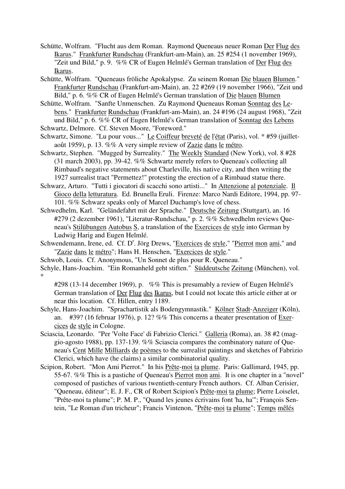- Schütte, Wolfram. "Flucht aus dem Roman. Raymond Queneaus neuer Roman Der Flug des Ikarus." Frankfurter Rundschau (Frankfurt-am-Main), an. 25 #254 (1 november 1969), "Zeit und Bild," p. 9. %% CR of Eugen Helmlé's German translation of Der Flug des Ikarus.
- Schütte, Wolfram. "Queneaus fröliche Apokalypse. Zu seinem Roman Die blauen Blumen." Frankfurter Rundschau (Frankfurt-am-Main), an. 22 #269 (19 november 1966), "Zeit und Bild," p. 6. %% CR of Eugen Helmlé's German translation of Die blauen Blumen
- Schütte, Wolfram. "Sanfte Unmenschen. Zu Raymond Queneaus Roman Sonntag des Lebens." Frankfurter Rundschau (Frankfurt-am-Main), an. 24 #196 (24 august 1968), "Zeit und Bild," p. 6. %% CR of Eugen Helmlé's German translation of Sonntag des Lebens
- Schwartz, Delmore. Cf. Steven Moore, "Foreword."
- Schwartz, Simone. "Lu pour vous..." Le Coiffeur breveté de l'état (Paris), vol. \* #59 (juilletaoût 1959), p. 13. %% A very simple review of Zazie dans le métro.
- Schwartz, Stephen. "Mugged by Surreality." The Weekly Standard (New York), vol. 8 #28 (31 march 2003), pp. 39-42. %% Schwartz merely refers to Queneau's collecting all Rimbaud's negative statements about Charleville, his native city, and then writing the 1927 surrealist tract "Permettez!" protesting the erection of a Rimbaud statue there.
- Schwarz, Arturo. "Tutti i giocatori di scacchi sono artisti..." In Attenzione al potenziale. Il Gioco della letturatura. Ed. Brunella Eruli. Firenze: Marco Nardi Editore, 1994, pp. 97- 101. %% Schwarz speaks only of Marcel Duchamp's love of chess.
- Schwedhelm, Karl. "Geländefahrt mit der Sprache." Deutsche Zeitung (Stuttgart), an. 16 #279 (2 dezember 1961), "Literatur-Rundschau," p. 2. %% Schwedhelm reviews Queneau's Stilübungen Autobus S, a translation of the Exercices de style into German by Ludwig Harig and Eugen Helmlé.
- Schwendemann, Irene, ed. Cf. D'. Jörg Drews, "Exercices de style," "Pierrot mon ami," and "Zazie dans le métro"; Hans H. Henschen, "Exercices de style."
- Schwob, Louis. Cf. Anonymous, "Un Sonnet de plus pour R. Queneau."
- Schyle, Hans-Joachim. "Ein Romanheld geht stiften." Süddeutsche Zeitung (München), vol. \*

#298 (13-14 december 1969), p. %% This is presumably a review of Eugen Helmlé's German translation of Der Flug des Ikarus, but I could not locate this article either at or near this location. Cf. Hillen, entry 1189.

- Schyle, Hans-Joachim. "Sprachartistik als Bodengymnastik." Kölner Stadt-Anzeiger (Köln), an. #39? (16 februar 1976), p. 12? %% This concerns a theater presentation of Exercices de style in Cologne.
- Sciascia, Leonardo. "Per 'Volte Face' di Fabrizio Clerici." Galleria (Roma), an. 38 #2 (maggio-agosto 1988), pp. 137-139. %% Sciascia compares the combinatory nature of Queneau's Cent Mille Milliards de poèmes to the surrealist paintings and sketches of Fabrizio Clerici, which have (he claims) a similar combinatorial quality.
- Scipion, Robert. "Mon Ami Pierrot." In his Prête-moi ta plume. Paris: Gallimard, 1945, pp. 55-67. %% This is a pastiche of Queneau's Pierrot mon ami. It is one chapter in a "novel" composed of pastiches of various twentieth-century French authors. Cf. Alban Cerisier, "Queneau, éditeur"; E. J. F., CR of Robert Scipion's Prête-moi ta plume; Pierre Loiselet, "Prête-moi ta plume"; P. M. P., "Quand les jeunes écrivains font 'ha, ha'"; François Sentein, "Le Roman d'un tricheur"; Francis Vintenon, "Prête-moi ta plume"; Temps mêlés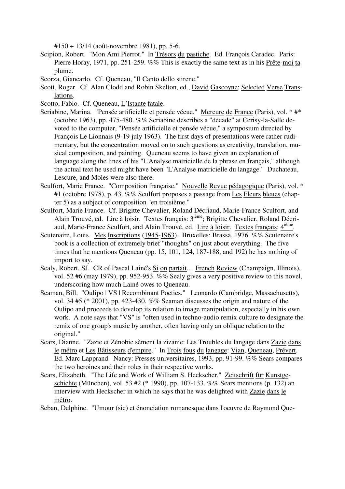#150 + 13/14 (août-novembre 1981), pp. 5-6.

- Scipion, Robert. "Mon Ami Pierrot." In Trésors du pastiche. Ed. François Caradec. Paris: Pierre Horay, 1971, pp. 251-259. %% This is exactly the same text as in his Prête-moi ta plume.
- Scorza, Giancarlo. Cf. Queneau, "Il Canto dello stirene."
- Scott, Roger. Cf. Alan Clodd and Robin Skelton, ed., David Gascoyne: Selected Verse Translations.
- Scotto, Fabio. Cf. Queneau, L'Istante fatale.
- Scriabine, Marina. "Pensée artificielle et pensée vécue." Mercure de France (Paris), vol. \* #\* (octobre 1963), pp. 475-480. %% Scriabine describes a "décade" at Cerisy-la-Salle devoted to the computer, "Pensée artificielle et pensée vécue," a symposium directed by François Le Lionnais (9-19 july 1963). The first days of presentations were rather rudimentary, but the concentration moved on to such questions as creativity, translation, musical composition, and painting. Queneau seems to have given an explanation of language along the lines of his "L'Analyse matricielle de la phrase en français," although the actual text he used might have been "L'Analyse matricielle du langage." Duchateau, Lescure, and Moles were also there.
- Sculfort, Marie France. "Composition française." Nouvelle Revue pédagogique (Paris), vol. \* #1 (octobre 1978), p. 43. %% Sculfort proposes a passage from Les Fleurs bleues (chapter 5) as a subject of composition "en troisième."
- Sculfort, Marie France. Cf. Brigitte Chevalier, Roland Décriaud, Marie-France Sculfort, and Alain Trouvé, ed. Lire à loisir. Textes français: 3ième; Brigitte Chevalier, Roland Décriaud, Marie-France Sculfort, and Alain Trouvé, ed. Lire à loisir. Textes français: 4<sup>ième</sup>.
- Scutenaire, Louis. Mes Inscriptions (1945-1963). Bruxelles: Brassa, 1976. %% Scutenaire's book is a collection of extremely brief "thoughts" on just about everything. The five times that he mentions Queneau (pp. 15, 101, 124, 187-188, and 192) he has nothing of import to say.
- Sealy, Robert, SJ. CR of Pascal Lainé's Si on partait... French Review (Champaign, Illinois), vol. 52 #6 (may 1979), pp. 952-953. %% Sealy gives a very positive review to this novel, underscoring how much Lainé owes to Queneau.
- Seaman, Bill. "Oulipo | VS | Recombinant Poetics." Leonardo (Cambridge, Massachusetts), vol. 34 #5 (\* 2001), pp. 423-430. %% Seaman discusses the origin and nature of the Oulipo and proceeds to develop its relation to image manipulation, especially in his own work. A note says that "VS" is "often used in techno-audio remix culture to designate the remix of one group's music by another, often having only an oblique relation to the original."
- Sears, Dianne. "Zazie et Zénobie sèment la zizanie: Les Troubles du langage dans Zazie dans le métro et Les Bâtisseurs d'empire." In Trois fous du langage: Vian, Queneau, Prévert. Ed. Marc Lapprand. Nancy: Presses universitaires, 1993, pp. 91-99. %% Sears compares the two heroines and their roles in their respective works.
- Sears, Elizabeth. "The Life and Work of William S. Heckscher." Zeitschrift für Kunstgeschichte (München), vol. 53 #2 (\* 1990), pp. 107-133. %% Sears mentions (p. 132) an interview with Heckscher in which he says that he was delighted with Zazie dans le métro.

Seban, Delphine. "Umour (sic) et énonciation romanesque dans l'oeuvre de Raymond Que-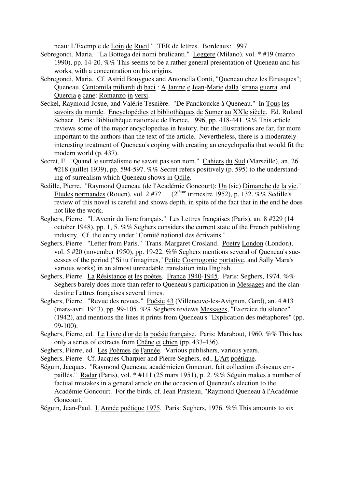neau: L'Exemple de Loin de Rueil." TER de lettres. Bordeaux: 1997.

- Sebregondi, Maria. "La Bottega dei nomi brulicanti." Leggere (Milano), vol. \* #19 (marzo 1990), pp. 14-20. %% This seems to be a rather general presentation of Queneau and his works, with a concentration on his origins.
- Sebregondi, Maria. Cf. Astrid Bouygues and Antonella Conti, "Queneau chez les Etrusques"; Queneau, Centomila miliardi di baci : A Janine e Jean-Marie dalla 'strana guerra' and Quercia e cane: Romanzo in versi.
- Seckel, Raymond-Josue, and Valérie Tesnière. "De Panckoucke à Queneau." In Tous les savoirs du monde. Encyclopédies et bibliothèques de Sumer au XXIe siècle. Ed. Roland Schaer. Paris: Bibliothèque nationale de France, 1996, pp. 418-441. %% This article reviews some of the major encyclopedias in history, but the illustrations are far, far more important to the authors than the text of the article. Nevertheless, there is a moderately interesting treatment of Queneau's coping with creating an encyclopedia that would fit the modern world (p. 437).
- Secret, F. "Quand le surréalisme ne savait pas son nom." Cahiers du Sud (Marseille), an. 26 #218 (juillet 1939), pp. 594-597. %% Secret refers positively (p. 595) to the understanding of surrealism which Queneau shows in Odile.
- Sedille, Pierre. "Raymond Queneau (de l'Académie Goncourt): Un (sic) Dimanche de la vie." Etudes normandes (Rouen), vol.  $2\#7$ ? ( $2^{i\text{eme}}$  trimestre 1952), p. 132. %% Sedille's review of this novel is careful and shows depth, in spite of the fact that in the end he does not like the work.
- Seghers, Pierre. "L'Avenir du livre français." Les Lettres françaises (Paris), an. 8 #229 (14 october 1948), pp. 1, 5. %% Seghers considers the current state of the French publishing industry. Cf. the entry under "Comité national des écrivains."
- Seghers, Pierre. "Letter from Paris." Trans. Margaret Crosland. Poetry London (London), vol. 5 #20 (november 1950), pp. 19-22. %% Seghers mentions several of Queneau's successes of the period ("Si tu t'imagines," Petite Cosmogonie portative, and Sally Mara's various works) in an almost unreadable translation into English.
- Seghers, Pierre. La Résistance et les poètes. France 1940-1945. Paris: Seghers, 1974. %% Seghers barely does more than refer to Queneau's participation in Messages and the clandestine Lettres françaises several times.
- Seghers, Pierre. "Revue des revues." Poésie 43 (Villeneuve-les-Avignon, Gard), an. 4 #13 (mars-avril 1943), pp. 99-105. %% Seghers reviews Messages, "Exercice du silence" (1942), and mentions the lines it prints from Queneau's "Explication des métaphores" (pp. 99-100).
- Seghers, Pierre, ed. Le Livre d'or de la poésie française. Paris: Marabout, 1960. %% This has only a series of extracts from Chêne et chien (pp. 433-436).
- Seghers, Pierre, ed. Les Poèmes de l'année. Various publishers, various years.
- Seghers, Pierre. Cf. Jacques Charpier and Pierre Seghers, ed., L'Art poétique.
- Séguin, Jacques. "Raymond Queneau, académicien Goncourt, fait collection d'oiseaux empaillés." Radar (Paris), vol. \* #111 (25 mars 1951), p. 2. %% Séguin makes a number of factual mistakes in a general article on the occasion of Queneau's election to the Académie Goncourt. For the birds, cf. Jean Prasteau, "Raymond Queneau à l'Académie Goncourt."

Séguin, Jean-Paul. L'Année poétique 1975. Paris: Seghers, 1976. %% This amounts to six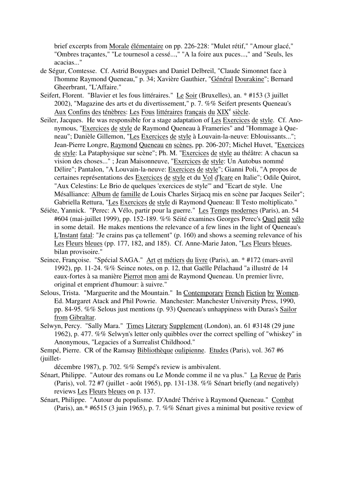brief excerpts from Morale élémentaire on pp. 226-228: "Mulet rétif," "Amour glacé," "Ombres traçantes," "Le tournesol a cessé...," "A la foire aux puces...," and "Seuls, les acacias..."

- de Ségur, Comtesse. Cf. Astrid Bouygues and Daniel Delbreil, "Claude Simonnet face à l'homme Raymond Queneau," p. 34; Xavière Gauthier, "Général Dourakine"; Bernard Gheerbrant, "L'Affaire."
- Seifert, Florent. "Blavier et les fous littéraires." Le Soir (Bruxelles), an. \* #153 (3 juillet 2002), "Magazine des arts et du divertissement," p. 7. %% Seifert presents Queneau's Aux Confins des ténèbres: Les Fous littéraires français du XIX<sup>e</sup> siècle.
- Seiler, Jacques. He was responsible for a stage adaptation of Les Exercices de style. Cf. Anonymous, "Exercices de style de Raymond Queneau à Frameries" and "Hommage à Queneau"; Danièle Gillemon, "Les Exercices de style à Louvain-la-neuve: Eblouissants..."; Jean-Pierre Longre, Raymond Queneau en scènes, pp. 206-207; Michel Huvet, "Exercices de style: La Pataphysique sur scène"; Ph. M. "Exercices de style au théâtre: A chacun sa vision des choses..." ; Jean Maisonneuve, "Exercices de style: Un Autobus nommé Délire"; Pantalon, "A Louvain-la-neuve: Exercices de style"; Gianni Poli, "A propos de certaines représentations des Exercices de style et du Vol d'Icare en Italie"; Odile Quirot, "Aux Celestins: Le Brio de quelques 'exercices de style'" and "Ecart de style. Une Mésalliance: Album de famille de Louis Charles Sirjacq mis en scène par Jacques Seiler"; Gabriella Rettura, "Les Exercices de style di Raymond Queneau: Il Testo moltiplicato."
- Séiéte, Yannick. "Perec: A Vélo, partir pour la guerre." Les Temps modernes (Paris), an. 54 #604 (mai-juillet 1999), pp. 152-189. %% Séité examines Georges Perec's Quel petit vélo in some detail. He makes mentions the relevance of a few lines in the light of Queneau's L'Instant fatal: "Je crains pas ça tellement" (p. 160) and shows a seeming relevance of his Les Fleurs bleues (pp. 177, 182, and 185). Cf. Anne-Marie Jaton, "Les Fleurs bleues, bilan provisoire."
- Seince, Françoise. "Spécial SAGA." Art et métiers du livre (Paris), an. \* #172 (mars-avril 1992), pp. 11-24. %% Seince notes, on p. 12, that Gaëlle Pélachaud "a illustré de 14 eaux-fortes à sa manière Pierrot mon ami de Raymond Queneau. Un premier livre, original et emprient d'humour: à suivre."
- Selous, Trista. "Marguerite and the Mountain." In Contemporary French Fiction by Women. Ed. Margaret Atack and Phil Powrie. Manchester: Manchester University Press, 1990, pp. 84-95. %% Selous just mentions (p. 93) Queneau's unhappiness with Duras's Sailor from Gibraltar.
- Selwyn, Percy. "Sally Mara." Times Literary Supplement (London), an. 61 #3148 (29 june 1962), p. 477. %% Selwyn's letter only quibbles over the correct spelling of "whiskey" in Anonymous, "Legacies of a Surrealist Childhood."

Sempé, Pierre. CR of the Ramsay Bibliothèque oulipienne. Etudes (Paris), vol. 367 #6 (juillet-

décembre 1987), p. 702. %% Sempé's review is ambivalent.

- Sénart, Philippe. "Autour des romans ou Le Monde comme il ne va plus." La Revue de Paris (Paris), vol. 72 #7 (juillet - août 1965), pp. 131-138. %% Sénart briefly (and negatively) reviews Les Fleurs bleues on p. 137.
- Sénart, Philippe. "Autour du populisme. D'André Thérive à Raymond Queneau." Combat (Paris), an.\* #6515 (3 juin 1965), p. 7. %% Sénart gives a minimal but positive review of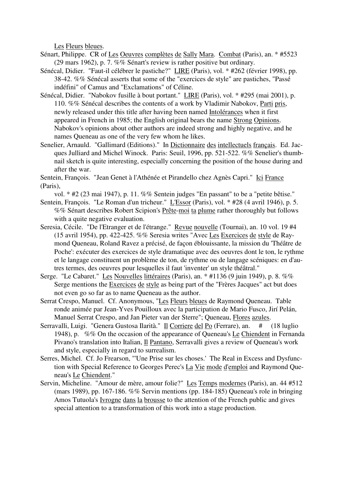Les Fleurs bleues.

- Sénart, Philippe. CR of Les Oeuvres complètes de Sally Mara. Combat (Paris), an. \* #5523 (29 mars 1962), p. 7. %% Sénart's review is rather positive but ordinary.
- Sénécal, Didier. "Faut-il célébrer le pastiche?" LIRE (Paris), vol. \* #262 (février 1998), pp. 38-42. %% Sénécal asserts that some of the "exercices de style" are pastiches, "Passé indéfini" of Camus and "Exclamations" of Céline.
- Sénécal, Didier. "Nabokov fusille à bout portant." LIRE (Paris), vol. \* #295 (mai 2001), p. 110. %% Sénécal describes the contents of a work by Vladimir Nabokov, Parti pris, newly released under this title after having been named Intolérances when it first appeared in French in 1985; the English original bears the name Strong Opinions. Nabokov's opinions about other authors are indeed strong and highly negative, and he names Queneau as one of the very few whom he likes.
- Senelier, Arnauld. "Gallimard (Editions)." In Dictionnaire des intellectuels français. Ed. Jacques Julliard and Michel Winock. Paris: Seuil, 1996, pp. 521-522. %% Senelier's thumbnail sketch is quite interesting, especially concerning the position of the house during and after the war.

Sentein, François. "Jean Genet à l'Athénée et Pirandello chez Agnès Capri." Ici France (Paris),

- vol. \* #2 (23 mai 1947), p. 11. %% Sentein judges "En passant" to be a "petite bêtise." Sentein, François. "Le Roman d'un tricheur." L'Essor (Paris), vol. \* #28 (4 avril 1946), p. 5.
- %% Sénart describes Robert Scipion's Prête-moi ta plume rather thoroughly but follows with a quite negative evaluation.
- Seresia, Cécile. "De l'Etranger et de l'étrange." Revue nouvelle (Tournai), an. 10 vol. 19 #4 (15 avril 1954), pp. 422-425. %% Seresia writes "Avec Les Exercices de style de Raymond Queneau, Roland Ravez a précisé, de façon éblouissante, la mission du 'Théâtre de Poche': exécuter des exercices de style dramatique avec des oeuvres dont le ton, le rythme et le langage constituent un problème de ton, de rythme ou de langage scéniques: en d'autres termes, des oeuvres pour lesquelles il faut 'inventer' un style théâtral."
- Serge. "Le Cabaret." Les Nouvelles littéraires (Paris), an. \* #1136 (9 juin 1949), p. 8. %% Serge mentions the Exercices de style as being part of the "Frères Jacques" act but does not even go so far as to name Queneau as the author.
- Serrat Crespo, Manuel. Cf. Anonymous, "Les Fleurs bleues de Raymond Queneau. Table ronde animée par Jean-Yves Pouilloux avec la participation de Mario Fusco, Jirí Pelán, Manuel Serrat Crespo, and Jan Pieter van der Sterre"; Queneau, Flores azules.
- Serravalli, Luigi. "Genera Gustosa Ilarità." Il Corriere del Po (Ferrare), an. # (18 luglio 1948), p. %% On the occasion of the appearance of Queneau's Le Chiendent in Fernanda Pivano's translation into Italian, Il Pantano, Serravalli gives a review of Queneau's work and style, especially in regard to surrealism.
- Serres, Michel. Cf. Jo Frearson, "'Une Prise sur les choses.' The Real in Excess and Dysfunction with Special Reference to Georges Perec's La Vie mode d'emploi and Raymond Queneau's Le Chiendent."
- Servin, Micheline. "Amour de mère, amour folie?" Les Temps modernes (Paris), an. 44 #512 (mars 1989), pp. 167-186. %% Servin mentions (pp. 184-185) Queneau's role in bringing Amos Tutuola's Ivrogne dans la brousse to the attention of the French public and gives special attention to a transformation of this work into a stage production.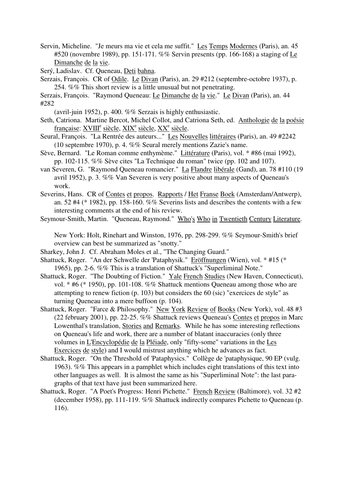Servin, Micheline. "Je meurs ma vie et cela me suffit." Les Temps Modernes (Paris), an. 45 #520 (novembre 1989), pp. 151-171. %% Servin presents (pp. 166-168) a staging of Le Dimanche de la vie.

Serý, Ladislav. Cf. Queneau, Deti bahna.

Serzais, François. CR of Odile. Le Divan (Paris), an. 29 #212 (septembre-octobre 1937), p. 254. %% This short review is a little unusual but not penetrating.

Serzais, François. "Raymond Queneau: Le Dimanche de la vie." Le Divan (Paris), an. 44 #282

- (avril-juin 1952), p. 400. %% Serzais is highly enthusiastic.
- Seth, Catriona. Martine Bercot, Michel Collot, and Catriona Seth, ed. Anthologie de la poésie française: XVIII<sup>e</sup> siècle, XIX<sup>e</sup> siècle, XX<sup>e</sup> siècle.
- Seural, François. "La Rentrée des auteurs..." Les Nouvelles littéraires (Paris), an. 49 #2242 (10 septembre 1970), p. 4. %% Seural merely mentions Zazie's name.
- Sève, Bernard. "Le Roman comme enthymème." Littérature (Paris), vol. \* #86 (mai 1992), pp. 102-115. %% Sève cites "La Technique du roman" twice (pp. 102 and 107).
- van Severen, G. "Raymond Queneau romancier." La Flandre libérale (Gand), an. 78 #110 (19 avril 1952), p. 3. %% Van Severen is very positive about many aspects of Queneau's work.
- Severins, Hans. CR of Contes et propos. Rapports / Het Franse Boek (Amsterdam/Antwerp), an. 52 #4 ( $*$  1982), pp. 158-160. %% Severins lists and describes the contents with a few interesting comments at the end of his review.
- Seymour-Smith, Martin. "Queneau, Raymond." Who's Who in Twentieth Century Literature.

New York: Holt, Rinehart and Winston, 1976, pp. 298-299. %% Seymour-Smith's brief overview can best be summarized as "snotty."

- Sharkey, John J. Cf. Abraham Moles et al., "The Changing Guard."
- Shattuck, Roger. "An der Schwelle der 'Pataphysik." Eröffnungen (Wien), vol. \* #15 (\* 1965), pp. 2-6. %% This is a translation of Shattuck's "Superliminal Note."
- Shattuck, Roger. "The Doubting of Fiction." Yale French Studies (New Haven, Connecticut), vol. \* #6 (\* 1950), pp. 101-108. %% Shattuck mentions Queneau among those who are attempting to renew fiction (p. 103) but considers the 60 (sic) "exercices de style" as turning Queneau into a mere buffoon (p. 104).
- Shattuck, Roger. "Farce & Philosophy." New York Review of Books (New York), vol. 48 #3 (22 february 2001), pp. 22-25. %% Shattuck reviews Queneau's Contes et propos in Marc Lowenthal's translation, Stories and Remarks. While he has some interesting reflections on Queneau's life and work, there are a number of blatant inaccuracies (only three volumes in L'Encyclopédie de la Pléiade, only "fifty-some" variations in the Les Exercices de style) and I would mistrust anything which he advances as fact.
- Shattuck, Roger. "On the Threshold of 'Pataphysics." Collège de 'pataphysique, 90 EP (vulg. 1963). %% This appears in a pamphlet which includes eight translations of this text into other languages as well. It is almost the same as his "Superliminal Note": the last paragraphs of that text have just been summarized here.
- Shattuck, Roger. "A Poet's Progress: Henri Pichette." French Review (Baltimore), vol. 32 #2 (december 1958), pp. 111-119. %% Shattuck indirectly compares Pichette to Queneau (p. 116).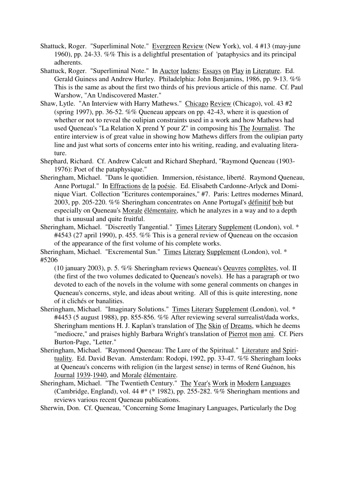- Shattuck, Roger. "Superliminal Note." Evergreen Review (New York), vol. 4 #13 (may-june 1960), pp. 24-33. %% This is a delightful presentation of 'pataphysics and its principal adherents.
- Shattuck, Roger. "Superliminal Note." In Auctor ludens: Essays on Play in Literature. Ed. Gerald Guiness and Andrew Hurley. Philadelphia: John Benjamins, 1986, pp. 9-13. %% This is the same as about the first two thirds of his previous article of this name. Cf. Paul Warshow, "An Undiscovered Master."
- Shaw, Lytle. "An Interview with Harry Mathews." Chicago Review (Chicago), vol. 43 #2 (spring 1997), pp. 36-52. %% Queneau appears on pp. 42-43, where it is question of whether or not to reveal the oulipian constraints used in a work and how Mathews had used Queneau's "La Relation X prend Y pour Z" in composing his The Journalist. The entire interview is of great value in showing how Mathews differs from the oulipian party line and just what sorts of concerns enter into his writing, reading, and evaluating literature.
- Shephard, Richard. Cf. Andrew Calcutt and Richard Shephard, "Raymond Queneau (1903- 1976): Poet of the pataphysique."
- Sheringham, Michael. "Dans le quotidien. Immersion, résistance, liberté. Raymond Queneau, Anne Portugal." In Effractions de la poésie. Ed. Elisabeth Cardonne-Arlyck and Dominique Viart. Collection "Ecritures contemporaines," #7. Paris: Lettres modernes Minard, 2003, pp. 205-220. %% Sheringham concentrates on Anne Portugal's définitif bob but especially on Queneau's Morale élémentaire, which he analyzes in a way and to a depth that is unusual and quite fruitful.
- Sheringham, Michael. "Discreetly Tangential." Times Literary Supplement (London), vol. \* #4543 (27 april 1990), p. 455. %% This is a general review of Queneau on the occasion of the appearance of the first volume of his complete works.

Sheringham, Michael. "Excremental Sun." Times Literary Supplement (London), vol. \* #5206

(10 january 2003), p. 5. %% Sheringham reviews Queneau's Oeuvres complètes, vol. II (the first of the two volumes dedicated to Queneau's novels). He has a paragraph or two devoted to each of the novels in the volume with some general comments on changes in Queneau's concerns, style, and ideas about writing. All of this is quite interesting, none of it clichés or banalities.

- Sheringham, Michael. "Imaginary Solutions." Times Literary Supplement (London), vol. \* #4453 (5 august 1988), pp. 855-856. %% After reviewing several surrealist/dada works, Sheringham mentions H. J. Kaplan's translation of The Skin of Dreams, which he deems "mediocre," and praises highly Barbara Wright's translation of Pierrot mon ami. Cf. Piers Burton-Page, "Letter."
- Sheringham, Michael. "Raymond Queneau: The Lure of the Spiritual." Literature and Spirituality. Ed. David Bevan. Amsterdam: Rodopi, 1992, pp. 33-47. %% Sheringham looks at Queneau's concerns with religion (in the largest sense) in terms of René Guénon, his Journal 1939-1940, and Morale élémentaire.
- Sheringham, Michael. "The Twentieth Century." The Year's Work in Modern Languages (Cambridge, England), vol. 44  $#$ ° (\* 1982), pp. 255-282. %% Sheringham mentions and reviews various recent Queneau publications.

Sherwin, Don. Cf. Queneau, "Concerning Some Imaginary Languages, Particularly the Dog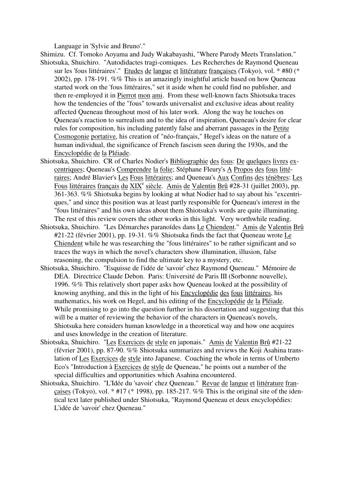Language in 'Sylvie and Bruno'."

- Shimizu. Cf. Tomoko Aoyama and Judy Wakabayashi, "Where Parody Meets Translation." Shiotsuka, Shuichiro. "Autodidactes tragi-comiques. Les Recherches de Raymond Queneau sur les 'fous littéraires'." Etudes de langue et littérature françaises (Tokyo), vol. \* #80 (\* 2002), pp. 178-191. %% This is an amazingly insightful article based on how Queneau started work on the 'fous littéraires," set it aside when he could find no publisher, and then re-employed it in Pierrot mon ami. From these well-known facts Shiotsuka traces how the tendencies of the "fous" towards universalist and exclusive ideas about reality affected Queneau throughout most of his later work. Along the way he touches on Queneau's reaction to surrealism and to the idea of inspiration, Queneau's desire for clear rules for composition, his including patently false and aberrant passages in the Petite Cosmogonie portative, his creation of "néo-français," Hegel's ideas on the nature of a human individual, the significance of French fascism seen during the 1930s, and the
- Encyclopédie de la Pléiade.
- Shiotsuka, Shuichiro. CR of Charles Nodier's Bibliographie des fous: De quelques livres excentriques; Queneau's Comprendre la folie; Stéphane Fleury's A Propos des fous littéraires; André Blavier's Les Fous littéraires; and Queneau's Aux Confins des ténèbres: Les Fous littéraires français du XIX<sup>e</sup> siècle. Amis de Valentin Brû #28-31 (juillet 2003), pp. 361-363. %% Shiotsuka begins by looking at what Nodier had to say about his "excentriques," and since this position was at least partly responsible for Queneau's interest in the "fous littéraires" and his own ideas about them Shiotsuka's words are quite illuminating. The rest of this review covers the other works in this light. Very worthwhile reading.
- Shiotsuka, Shuichiro. "Les Démarches paranoïdes dans Le Chiendent." Amis de Valentin Brû #21-22 (février 2001), pp. 19-31. %% Shiotsuka finds the fact that Queneau wrote Le Chiendent while he was researching the "fous littéraires" to be rather significant and so traces the ways in which the novel's characters show illumination, illusion, false reasoning, the compulsion to find the ultimate key to a mystery, etc.
- Shiotsuka, Shuichiro. "Esquisse de l'idée de 'savoir' chez Raymond Queneau." Mémoire de DEA. Directrice Claude Debon. Paris: Université de Paris III (Sorbonne nouvelle), 1996. %% This relatively short paper asks how Queneau looked at the possibility of knowing anything, and this in the light of his Encyclopédie des fous littéraires, his mathematics, his work on Hegel, and his editing of the Encyclopédie de la Pléiade. While promising to go into the question further in his dissertation and suggesting that this will be a matter of reviewing the behavior of the characters in Oueneau's novels, Shiotsuka here considers human knowledge in a theoretical way and how one acquires and uses knowledge in the creation of literature.
- Shiotsuka, Shuichiro. "Les Exercices de style en japonais." Amis de Valentin Brû #21-22 (février 2001), pp. 87-90. %% Shiotsuka summarizes and reviews the Koji Asahina translation of Les Exercices de style into Japanese. Couching the whole in terms of Umberto Eco's "Introduction à Exercices de style de Queneau," he points out a number of the special difficulties and opportunities which Asahina encountered.
- Shiotsuka, Shuichiro. "L'Idée du 'savoir' chez Queneau." Revue de langue et littérature francaises (Tokyo), vol.  $*$  #17 ( $*$  1998), pp. 185-217. %% This is the original site of the identical text later published under Shiotsuka, "Raymond Queneau et deux encyclopédies: L'idée de 'savoir' chez Queneau."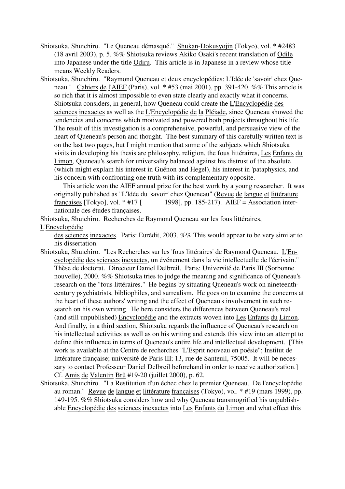- Shiotsuka, Shuichiro. "Le Queneau démasqué." Shukan-Dokusyojin (Tokyo), vol. \* #2483 (18 avril 2003), p. 5. %% Shiotsuka reviews Akiko Osaki's recent translation of Odile into Japanese under the title Odiru. This article is in Japanese in a review whose title means Weekly Readers.
- Shiotsuka, Shuichiro. "Raymond Queneau et deux encyclopédies: L'Idée de 'savoir' chez Queneau." Cahiers de l'AIEF (Paris), vol. \* #53 (mai 2001), pp. 391-420. %% This article is so rich that it is almost impossible to even state clearly and exactly what it concerns. Shiotsuka considers, in general, how Queneau could create the L'Encyclopédie des sciences inexactes as well as the L'Encyclopédie de la Pléiade, since Queneau showed the tendencies and concerns which motivated and powered both projects throughout his life. The result of this investigation is a comprehensive, powerful, and persuasive view of the heart of Queneau's person and thought. The best summary of this carefully written text is on the last two pages, but I might mention that some of the subjects which Shiotsuka visits in developing his thesis are philosophy, religion, the fous littéraires, Les Enfants du Limon, Queneau's search for universality balanced against his distrust of the absolute (which might explain his interest in Guénon and Hegel), his interest in 'pataphysics, and his concern with confronting one truth with its complementary opposite.

 This article won the AIEF annual prize for the best work by a young researcher. It was originally published as "L'Idée du 'savoir' chez Queneau" (Revue de langue et littérature françaises [Tokyo], vol.  $*$  #17 [ 1998], pp. 185-217). AIEF = Association internationale des études françaises.

Shiotsuka, Shuichiro. Recherches de Raymond Queneau sur les fous littéraires, L'Encyclopédie

des sciences inexactes. Paris: Eurédit, 2003. %% This would appear to be very similar to his dissertation.

- Shiotsuka, Shuichiro. "Les Recherches sur les 'fous littéraires' de Raymond Queneau. L'Encyclopédie des sciences inexactes, un événement dans la vie intellectuelle de l'écrivain." Thèse de doctorat. Directeur Daniel Delbreil. Paris: Université de Paris III (Sorbonne nouvelle), 2000. %% Shiotsuka tries to judge the meaning and significance of Queneau's research on the "fous littéraires." He begins by situating Queneau's work on nineteenthcentury psychiatrists, bibliophiles, and surrealism. He goes on to examine the concerns at the heart of these authors' writing and the effect of Queneau's involvement in such research on his own writing. He here considers the differences between Queneau's real (and still unpublished) Encyclopédie and the extracts woven into Les Enfants du Limon. And finally, in a third section, Shiotsuka regards the influence of Queneau's research on his intellectual activities as well as on his writing and extends this view into an attempt to define this influence in terms of Queneau's entire life and intellectual development. [This work is available at the Centre de recherches "L'Esprit nouveau en poésie"; Institut de littérature française; université de Paris III; 13, rue de Santeuil, 75005. It will be necessary to contact Professeur Daniel Delbreil beforehand in order to receive authorization.] Cf. Amis de Valentin Brû #19-20 (juillet 2000), p. 62.
- Shiotsuka, Shuichiro. "La Restitution d'un échec chez le premier Queneau. De l'encyclopédie au roman." Revue de langue et littérature françaises (Tokyo), vol. \* #19 (mars 1999), pp. 149-195. %% Shiotsuka considers how and why Queneau transmogrified his unpublishable Encyclopédie des sciences inexactes into Les Enfants du Limon and what effect this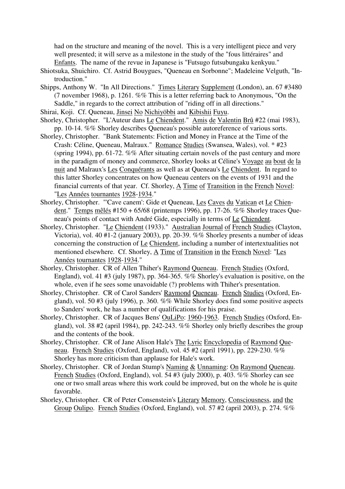had on the structure and meaning of the novel. This is a very intelligent piece and very well presented; it will serve as a milestone in the study of the "fous littéraires" and Enfants. The name of the revue in Japanese is "Futsugo futsubungaku kenkyuu."

- Shiotsuka, Shuichiro. Cf. Astrid Bouygues, "Queneau en Sorbonne"; Madeleine Velguth, "Introduction."
- Shipps, Anthony W. "In All Directions." Times Literary Supplement (London), an. 67 #3480 (7 november 1968), p. 1261. %% This is a letter referring back to Anonymous, "On the Saddle," in regards to the correct attribution of "riding off in all directions."
- Shirai, Koji. Cf. Queneau, Jinsei No Nichiyöbbi and Kibishii Fuyu.
- Shorley, Christopher. "L'Auteur dans Le Chiendent." Amis de Valentin Brû #22 (mai 1983), pp. 10-14. %% Shorley describes Queneau's possible autoreference of various sorts.
- Shorley, Christopher. "Bank Statements: Fiction and Money in France at the Time of the Crash: Céline, Queneau, Malraux." Romance Studies (Swansea, Wales), vol. \* #23 (spring 1994), pp. 61-72. %% After situating certain novels of the past century and more in the paradigm of money and commerce, Shorley looks at Céline's Voyage au bout de la nuit and Malraux's Les Conquérants as well as at Queneau's Le Chiendent. In regard to this latter Shorley concentrates on how Queneau centers on the events of 1931 and the financial currents of that year. Cf. Shorley, A Time of Transition in the French Novel: "Les Années tournantes 1928-1934."
- Shorley, Christopher. "'Cave canem': Gide et Queneau, Les Caves du Vatican et Le Chiendent." Temps mêlés #150 + 65/68 (printemps 1996), pp. 17-26. %% Shorley traces Queneau's points of contact with André Gide, especially in terms of Le Chiendent.
- Shorley, Christopher. "Le Chiendent (1933)." Australian Journal of French Studies (Clayton, Victoria), vol. 40 #1-2 (january 2003), pp. 20-39. %% Shorley presents a number of ideas concerning the construction of Le Chiendent, including a number of intertextualities not mentioned elsewhere. Cf. Shorley, A Time of Transition in the French Novel: "Les Années tournantes 1928-1934."
- Shorley, Christopher. CR of Allen Thiher's Raymond Queneau. French Studies (Oxford, England), vol. 41 #3 (july 1987), pp. 364-365.  $\%$ % Shorley's evaluation is positive, on the whole, even if he sees some unavoidable (?) problems with Thiher's presentation.
- Shorley, Christopher. CR of Carol Sanders' Raymond Queneau. French Studies (Oxford, England), vol. 50 #3 (july 1996), p. 360. %% While Shorley does find some positive aspects to Sanders' work, he has a number of qualifications for his praise.
- Shorley, Christopher. CR of Jacques Bens' OuLiPo: 1960-1963. French Studies (Oxford, England), vol. 38 #2 (april 1984), pp. 242-243. %% Shorley only briefly describes the group and the contents of the book.
- Shorley, Christopher. CR of Jane Alison Hale's The Lyric Encyclopedia of Raymond Queneau. French Studies (Oxford, England), vol. 45 #2 (april 1991), pp. 229-230. %% Shorley has more criticism than applause for Hale's work.
- Shorley, Christopher. CR of Jordan Stump's Naming & Unnaming: On Raymond Queneau. French Studies (Oxford, England), vol. 54 #3 (july 2000), p. 403. %% Shorley can see one or two small areas where this work could be improved, but on the whole he is quite favorable.
- Shorley, Christopher. CR of Peter Consenstein's Literary Memory, Consciousness, and the Group Oulipo. French Studies (Oxford, England), vol. 57 #2 (april 2003), p. 274. %%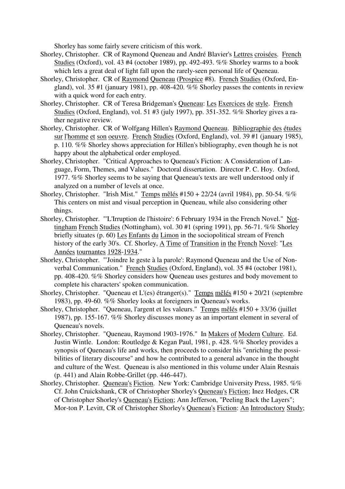Shorley has some fairly severe criticism of this work.

- Shorley, Christopher. CR of Raymond Queneau and André Blavier's Lettres croisées. French Studies (Oxford), vol. 43 #4 (october 1989), pp. 492-493. %% Shorley warms to a book which lets a great deal of light fall upon the rarely-seen personal life of Queneau.
- Shorley, Christopher. CR of Raymond Queneau (Prospice #8). French Studies (Oxford, England), vol. 35 #1 (january 1981), pp. 408-420.  $\%$ % Shorley passes the contents in review with a quick word for each entry.
- Shorley, Christopher. CR of Teresa Bridgeman's Queneau: Les Exercices de style. French Studies (Oxford, England), vol. 51 #3 (july 1997), pp. 351-352. %% Shorley gives a rather negative review.
- Shorley, Christopher. CR of Wolfgang Hillen's Raymond Queneau. Bibliographie des études sur l'homme et son oeuvre. French Studies (Oxford, England), vol. 39 #1 (january 1985), p. 110. %% Shorley shows appreciation for Hillen's bibliography, even though he is not happy about the alphabetical order employed.
- Shorley, Christopher. "Critical Approaches to Queneau's Fiction: A Consideration of Language, Form, Themes, and Values." Doctoral dissertation. Director P. C. Hoy. Oxford, 1977. %% Shorley seems to be saying that Queneau's texts are well understood only if analyzed on a number of levels at once.
- Shorley, Christopher. "Irish Mist." Temps mêlés #150 + 22/24 (avril 1984), pp. 50-54. %% This centers on mist and visual perception in Queneau, while also considering other things.
- Shorley, Christopher. "'L'Irruption de l'histoire': 6 February 1934 in the French Novel." Nottingham French Studies (Nottingham), vol. 30 #1 (spring 1991), pp. 56-71. %% Shorley briefly situates (p. 60) Les Enfants du Limon in the sociopolitical stream of French history of the early 30's. Cf. Shorley, A Time of Transition in the French Novel: "Les Années tournantes 1928-1934."
- Shorley, Christopher. "'Joindre le geste à la parole': Raymond Queneau and the Use of Nonverbal Communication." French Studies (Oxford, England), vol. 35 #4 (october 1981), pp. 408-420. %% Shorley considers how Queneau uses gestures and body movement to complete his characters' spoken communication.
- Shorley, Christopher. "Queneau et L'(es) étranger(s)." Temps mêlés #150 + 20/21 (septembre 1983), pp. 49-60. %% Shorley looks at foreigners in Queneau's works.
- Shorley, Christopher. "Queneau, l'argent et les valeurs." Temps mêlés #150 + 33/36 (juillet 1987), pp. 155-167. %% Shorley discusses money as an important element in several of Queneau's novels.
- Shorley, Christopher. "Queneau, Raymond 1903-1976." In Makers of Modern Culture. Ed. Justin Wintle. London: Routledge & Kegan Paul, 1981, p. 428. %% Shorley provides a synopsis of Queneau's life and works, then proceeds to consider his "enriching the possibilities of literary discourse" and how he contributed to a general advance in the thought and culture of the West. Queneau is also mentioned in this volume under Alain Resnais (p. 441) and Alain Robbe-Grillet (pp. 446-447).
- Shorley, Christopher. Queneau's Fiction. New York: Cambridge University Press, 1985. %% Cf. John Cruickshank, CR of Christopher Shorley's Queneau's Fiction; Inez Hedges, CR of Christopher Shorley's Queneau's Fiction; Ann Jefferson, "Peeling Back the Layers"; Mor-ton P. Levitt, CR of Christopher Shorley's Queneau's Fiction: An Introductory Study;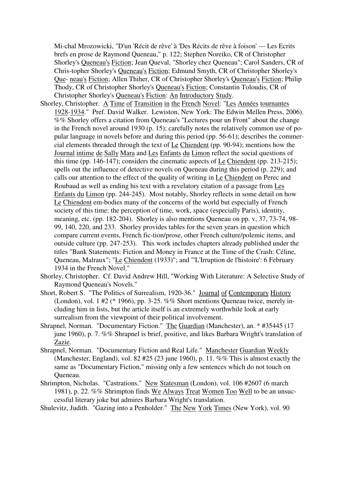Mi-chal Mrozowicki, "D'un 'Récit de rêve' à 'Des Récits de rêve à foison' --- Les Ecrits brefs en prose de Raymond Queneau," p. 122; Stephen Noreiko, CR of Christopher Shorley's Queneau's Fiction; Jean Queval, "Shorley chez Queneau"; Carol Sanders, CR of Chris-topher Shorley's Queneau's Fiction; Edmund Smyth, CR of Christopher Shorley's Que- neau's Fiction; Allen Thiher, CR of Christopher Shorley's Queneau's Fiction; Philip Thody, CR of Christopher Shorley's Queneau's Fiction; Constantin Toloudis, CR of Christopher Shorley's Queneau's Fiction: An Introductory Study.

- Shorley, Christopher. A Time of Transition in the French Novel: "Les Années tournantes 1928-1934." Pref. David Walker. Lewiston, New York: The Edwin Mellen Press, 2006). %% Shorley offers a citation from Queneau's "Lectures pour un Front" about the change in the French novel around 1930 (p. 15); carefully notes the relatively common use of popular language in novels before and during this period (pp. 56-61); describes the commercial elements threaded through the text of Le Chiendent (pp. 90-94); mentions how the Journal intime de Sally Mara and Les Enfants du Limon reflect the social questions of this time (pp. 146-147); considers the cinematic aspects of Le Chiendent (pp. 213-215); spells out the influence of detective novels on Queneau during this period (p. 229); and calls our attention to the effect of the quality of writing in Le Chiendent on Perec and Roubaud as well as ending his text with a revelatory citation of a passage from Les Enfants du Limon (pp. 244-245). Most notably, Shorley reflects in some detail on how Le Chiendent em-bodies many of the concerns of the world but especially of French society of this time: the perception of time, work, space (especially Paris), identity, meaning, etc. (pp. 182-204). Shorley is also mentions Queneau on pp. v, 37, 73-74, 98- 99, 140, 220, and 233. Shorley provides tables for the seven years in question which compare current events, French fic-tion/prose, other French culture/polemic items, and outside culture (pp. 247-253). This work includes chapters already published under the titles "Bank Statements: Fiction and Money in France at the Time of the Crash: Céline, Queneau, Malraux"; "Le Chiendent (1933)"; and "'L'Irruption de l'histoire': 6 February 1934 in the French Novel."
- Shorley, Christopher. Cf. David Andrew Hill, "Working With Literature: A Selective Study of Raymond Queneau's Novels."
- Short, Robert S. "The Politics of Surrealism, 1920-36." Journal of Contemporary History (London), vol. 1 #2 (\* 1966), pp. 3-25. %% Short mentions Queneau twice, merely including him in lists, but the article itself is an extremely worthwhile look at early surrealism from the viewpoint of their political involvement.
- Shrapnel, Norman. "Documentary Fiction." The Guardian (Manchester), an. \* #35445 (17 june 1960), p. 7. %% Shrapnel is brief, positive, and likes Barbara Wright's translation of Zazie.
- Shrapnel, Norman. "Documentary Fiction and Real Life." Manchester Guardian Weekly (Manchester, England), vol. 82 #25 (23 june 1960), p. 11. %% This is almost exactly the same as "Documentary Fiction," missing only a few sentences which do not touch on Queneau.
- Shrimpton, Nicholas. "Castrations." New Statesman (London), vol. 106 #2607 (6 march 1981), p. 22. %% Shrimpton finds We Always Treat Women Too Well to be an unsuccessful literary joke but admires Barbara Wright's translation.
- Shulevitz, Judith. "Gazing into a Penholder." The New York Times (New York), vol. 90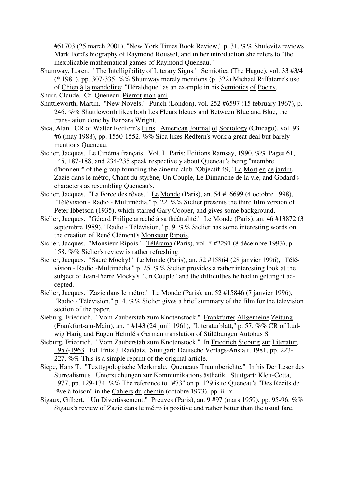#51703 (25 march 2001), "New York Times Book Review," p. 31. %% Shulevitz reviews Mark Ford's biography of Raymond Roussel, and in her introduction she refers to "the inexplicable mathematical games of Raymond Queneau."

- Shumway, Loren. "The Intelligibility of Literary Signs." Semiotica (The Hague), vol. 33 #3/4 (\* 1981), pp. 307-335. %% Shumway merely mentions (p. 322) Michael Riffaterre's use of Chien à la mandoline: "Héraldique" as an example in his Semiotics of Poetry.
- Shurr, Claude. Cf. Queneau, Pierrot mon ami.
- Shuttleworth, Martin. "New Novels." Punch (London), vol. 252 #6597 (15 february 1967), p. 246. %% Shuttleworth likes both Les Fleurs bleues and Between Blue and Blue, the trans-lation done by Barbara Wright.
- Sica, Alan. CR of Walter Redfern's Puns. American Journal of Sociology (Chicago), vol. 93 #6 (may 1988), pp. 1550-1552. %% Sica likes Redfern's work a great deal but barely mentions Queneau.
- Siclier, Jacques. Le Cinéma français. Vol. I. Paris: Editions Ramsay, 1990. %% Pages 61, 145, 187-188, and 234-235 speak respectively about Queneau's being "membre d'honneur" of the group founding the cinema club "Objectif 49," La Mort en ce jardin, Zazie dans le métro, Chant du styrène, Un Couple, Le Dimanche de la vie, and Godard's characters as resembling Queneau's.
- Siclier, Jacques. "La Force des rêves." Le Monde (Paris), an. 54 #16699 (4 octobre 1998), "Télévision - Radio - Multimédia," p. 22. %% Siclier presents the third film version of Peter Ibbetson (1935), which starred Gary Cooper, and gives some background.
- Siclier, Jacques. "Gérard Philipe arraché à sa théâtralité." Le Monde (Paris), an. 46 #13872 (3 septembre 1989), "Radio - Télévision," p. 9. %% Siclier has some interesting words on the creation of René Clément's Monsieur Ripois.
- Siclier, Jacques. "Monsieur Ripois." Télérama (Paris), vol. \* #2291 (8 décembre 1993), p. 158. %% Siclier's review is rather refreshing.
- Siclier, Jacques. "Sacré Mocky!" Le Monde (Paris), an. 52 #15864 (28 janvier 1996), "Télévision - Radio -Multimédia," p. 25. %% Siclier provides a rather interesting look at the subject of Jean-Pierre Mocky's "Un Couple" and the difficulties he had in getting it accepted.
- Siclier, Jacques. "Zazie dans le métro." Le Monde (Paris), an. 52 #15846 (7 janvier 1996), "Radio - Télévision," p. 4. %% Siclier gives a brief summary of the film for the television section of the paper.
- Sieburg, Friedrich. "Vom Zauberstab zum Knotenstock." Frankfurter Allgemeine Zeitung (Frankfurt-am-Main), an. \* #143 (24 junii 1961), "Literaturblatt," p. 57. %% CR of Ludwig Harig and Eugen Helmlé's German translation of Stilübungen Autobus S
- Sieburg, Friedrich. "Vom Zauberstab zum Knotenstock." In Friedrich Sieburg zur Literatur, 1957-1963. Ed. Fritz J. Raddatz. Stuttgart: Deutsche Verlags-Anstalt, 1981, pp. 223- 227. %% This is a simple reprint of the original article.
- Siepe, Hans T. "Texttypologische Merkmale. Queneaus Traumberichte." In his Der Leser des Surrealismus. Untersuchungen zur Kommunikations ästhetik. Stuttgart: Klett-Cotta, 1977, pp. 129-134. %% The reference to "#73" on p. 129 is to Queneau's "Des Récits de rêve à foison" in the Cahiers du chemin (octobre 1973), pp. ii-ix.
- Sigaux, Gilbert. "Un Divertissement." Preuves (Paris), an. 9 #97 (mars 1959), pp. 95-96. %% Sigaux's review of Zazie dans le métro is positive and rather better than the usual fare.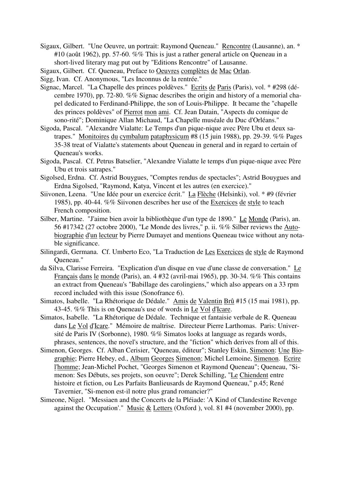- Sigaux, Gilbert. "Une Oeuvre, un portrait: Raymond Queneau." Rencontre (Lausanne), an. \* #10 (août 1962), pp. 57-60. %% This is just a rather general article on Queneau in a short-lived literary mag put out by "Editions Rencontre" of Lausanne.
- Sigaux, Gilbert. Cf. Queneau, Preface to Oeuvres complètes de Mac Orlan.

Sigg, Ivan. Cf. Anonymous, "Les Inconnus de la rentrée."

- Signac, Marcel. "La Chapelle des princes poldèves." Ecrits de Paris (Paris), vol. \* #298 (décembre 1970), pp. 72-80. %% Signac describes the origin and history of a memorial chapel dedicated to Ferdinand-Philippe, the son of Louis-Philippe. It became the "chapelle des princes poldèves" of Pierrot mon ami. Cf. Jean Datain, "Aspects du comique de sono-rité"; Dominique Allan Michaud, "La Chapelle muséale du Duc d'Orléans."
- Sigoda, Pascal. "Alexandre Vialatte: Le Temps d'un pique-nique avec Père Ubu et deux satrapes." Monitoires du cymbalum pataphysicum #8 (15 juin 1988), pp. 29-39. %% Pages 35-38 treat of Vialatte's statements about Queneau in general and in regard to certain of Queneau's works.
- Sigoda, Pascal. Cf. Petrus Batselier, "Alexandre Vialatte le temps d'un pique-nique avec Père Ubu et trois satrapes."
- Sigolsed, Erdna. Cf. Astrid Bouygues, "Comptes rendus de spectacles"; Astrid Bouygues and Erdna Sigolsed, "Raymond, Katya, Vincent et les autres (en exercice)."
- Siivonen, Leena. "Une Idée pour un exercice écrit." La Flèche (Helsinki), vol. \* #9 (février 1985), pp. 40-44. %% Siivonen describes her use of the Exercices de style to teach French composition.
- Silber, Martine. "J'aime bien avoir la bibliothèque d'un type de 1890." Le Monde (Paris), an. 56 #17342 (27 octobre 2000), "Le Monde des livres," p. ii. %% Silber reviews the Autobiographie d'un lecteur by Pierre Dumayet and mentions Queneau twice without any notable significance.
- Silingardi, Germana. Cf. Umberto Eco, "La Traduction de Les Exercices de style de Raymond Queneau."
- da Silva, Clarisse Ferreira. "Explication d'un disque en vue d'une classe de conversation." Le Français dans le monde (Paris), an. 4 #32 (avril-mai 1965), pp. 30-34. %% This contains an extract from Queneau's "Babillage des carolingiens," which also appears on a 33 rpm record included with this issue (Sonofrance 6).
- Simatos, Isabelle. "La Rhétorique de Dédale." Amis de Valentin Brû #15 (15 mai 1981), pp. 43-45. %% This is on Queneau's use of words in Le Vol d'Icare.
- Simatos, Isabelle. "La Rhétorique de Dédale. Technique et fantaisie verbale de R. Queneau dans Le Vol d'Icare." Mémoire de maîtrise. Directeur Pierre Larthomas. Paris: Université de Paris IV (Sorbonne), 1980. %% Simatos looks at language as regards words, phrases, sentences, the novel's structure, and the "fiction" which derives from all of this.
- Simenon, Georges. Cf. Alban Cerisier, "Queneau, éditeur"; Stanley Eskin, Simenon: Une Biographie; Pierre Hebey, ed., Album Georges Simenon; Michel Lemoine, Simenon. Ecrire l'homme; Jean-Michel Pochet, "Georges Simenon et Raymond Queneau"; Queneau, "Simenon: Ses Débuts, ses projets, son oeuvre"; Derek Schilling, "Le Chiendent entre histoire et fiction, ou Les Parfaits Banlieusards de Raymond Queneau," p.45; René Tavernier, "Si-menon est-il notre plus grand romancier?"
- Simeone, Nigel. "Messiaen and the Concerts de la Pléiade: 'A Kind of Clandestine Revenge against the Occupation'." Music & Letters (Oxford ), vol. 81 #4 (november 2000), pp.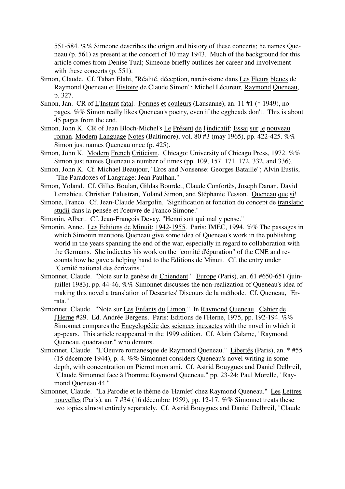551-584. %% Simeone describes the origin and history of these concerts; he names Queneau (p. 561) as present at the concert of 10 may 1943. Much of the background for this article comes from Denise Tual; Simeone briefly outlines her career and involvement with these concerts (p. 551).

- Simon, Claude. Cf. Taban Elahi, "Réalité, déception, narcissisme dans Les Fleurs bleues de Raymond Queneau et Histoire de Claude Simon"; Michel Lécureur, Raymond Queneau, p. 327.
- Simon, Jan. CR of L'Instant fatal. Formes et couleurs (Lausanne), an. 11 #1 (\* 1949), no pages. %% Simon really likes Queneau's poetry, even if the eggheads don't. This is about 45 pages from the end.
- Simon, John K. CR of Jean Bloch-Michel's Le Présent de l'indicatif: Essai sur le nouveau roman. Modern Language Notes (Baltimore), vol. 80 #3 (may 1965), pp. 422-425. %% Simon just names Queneau once (p. 425).
- Simon, John K. Modern French Criticism. Chicago: University of Chicago Press, 1972. %% Simon just names Queneau a number of times (pp. 109, 157, 171, 172, 332, and 336).
- Simon, John K. Cf. Michael Beaujour, "Eros and Nonsense: Georges Bataille"; Alvin Eustis, "The Paradoxes of Language: Jean Paulhan."
- Simon, Yoland. Cf. Gilles Boulan, Gildas Bourdet, Claude Confortès, Joseph Danan, David Lemahieu, Christian Palustran, Yoland Simon, and Stéphanie Tesson. Queneau que si!
- Simone, Franco. Cf. Jean-Claude Margolin, "Signification et fonction du concept de translatio studii dans la pensée et l'oeuvre de Franco Simone."
- Simonin, Albert. Cf. Jean-François Devay, "Henni soit qui mal y pense."
- Simonin, Anne. Les Editions de Minuit: 1942-1955. Paris: IMEC, 1994. %% The passages in which Simonin mentions Queneau give some idea of Queneau's work in the publishing world in the years spanning the end of the war, especially in regard to collaboration with the Germans. She indicates his work on the "comité d'épuration" of the CNE and recounts how he gave a helping hand to the Editions de Minuit. Cf. the entry under "Comité national des écrivains."
- Simonnet, Claude. "Note sur la genèse du Chiendent." Europe (Paris), an. 61 #650-651 (juinjuillet 1983), pp. 44-46. %% Simonnet discusses the non-realization of Queneau's idea of making this novel a translation of Descartes' Discours de la méthode. Cf. Queneau, "Errata."
- Simonnet, Claude. "Note sur Les Enfants du Limon." In Raymond Queneau. Cahier de l'Herne #29. Ed. Andrée Bergens. Paris: Editions de l'Herne, 1975, pp. 192-194. %% Simonnet compares the Encyclopédie des sciences inexactes with the novel in which it ap-pears. This article reappeared in the 1999 edition. Cf. Alain Calame, "Raymond Queneau, quadrateur," who demurs.
- Simonnet, Claude. "L'Oeuvre romanesque de Raymond Queneau." Libertés (Paris), an. \* #55 (15 décembre 1944), p. 4. %% Simonnet considers Queneau's novel writing in some depth, with concentration on Pierrot mon ami. Cf. Astrid Bouygues and Daniel Delbreil, "Claude Simonnet face à l'homme Raymond Queneau," pp. 23-24; Paul Morelle, "Raymond Queneau 44."
- Simonnet, Claude. "La Parodie et le thème de 'Hamlet' chez Raymond Queneau." Les Lettres nouvelles (Paris), an. 7 #34 (16 décembre 1959), pp. 12-17. %% Simonnet treats these two topics almost entirely separately. Cf. Astrid Bouygues and Daniel Delbreil, "Claude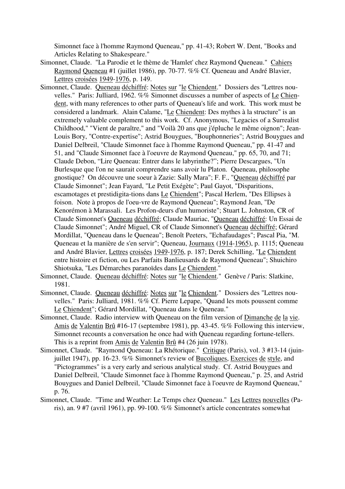Simonnet face à l'homme Raymond Queneau," pp. 41-43; Robert W. Dent, "Books and Articles Relating to Shakespeare."

- Simonnet, Claude. "La Parodie et le thème de 'Hamlet' chez Raymond Queneau." Cahiers Raymond Queneau #1 (juillet 1986), pp. 70-77. %% Cf. Queneau and André Blavier, Lettres croisées 1949-1976, p. 149.
- Simonnet, Claude. Queneau déchiffré: Notes sur "le Chiendent." Dossiers des "Lettres nouvelles." Paris: Julliard, 1962. %% Simonnet discusses a number of aspects of Le Chiendent, with many references to other parts of Queneau's life and work. This work must be considered a landmark. Alain Calame, "Le Chiendent: Des mythes à la structure" is an extremely valuable complement to this work. Cf. Anonymous, "Legacies of a Surrealist Childhood," "Vient de paraître," and "Voilà 20 ans que j'épluche le même oignon"; Jean-Louis Bory, "Contre-expertise"; Astrid Bouygues, "Bouphonneries"; Astrid Bouygues and Daniel Delbreil, "Claude Simonnet face à l'homme Raymond Queneau," pp. 41-47 and 51, and "Claude Simonnet face à l'oeuvre de Raymond Queneau," pp. 65, 70, and 71; Claude Debon, "Lire Queneau: Entrer dans le labyrinthe?"; Pierre Descargues, "Un Burlesque que l'on ne saurait comprendre sans avoir lu Platon. Queneau, philosophe gnostique? On découvre une soeur à Zazie: Sally Mara"; F. F., "Queneau déchiffré par Claude Simonnet"; Jean Fayard, "Le Petit Exégète"; Paul Gayot, "Disparitions, escamotages et prestidigita-tions dans Le Chiendent"; Pascal Herlem, "Des Ellipses à foison. Note à propos de l'oeu-vre de Raymond Queneau"; Raymond Jean, "De Kenorémon à Marassali. Les Profon-deurs d'un humoriste"; Stuart L. Johnston, CR of Claude Simonnet's Queneau déchiffré; Claude Mauriac, "Queneau déchiffré: Un Essai de Claude Simonnet"; André Miguel, CR of Claude Simonnet's Queneau déchiffré; Gérard Mordillat, "Queneau dans le Queneau"; Benoît Peeters, "Echafaudages"; Pascal Pia, "M. Queneau et la manière de s'en servir"; Queneau, Journaux (1914-1965), p. 1115; Queneau and André Blavier, Lettres croisées 1949-1976, p. 187; Derek Schilling, "Le Chiendent entre histoire et fiction, ou Les Parfaits Banlieusards de Raymond Queneau"; Shuichiro Shiotsuka, "Les Démarches paranoïdes dans Le Chiendent."
- Simonnet, Claude. Queneau déchiffré: Notes sur "le Chiendent." Genève / Paris: Slatkine, 1981.
- Simonnet, Claude. Queneau déchiffré: Notes sur "le Chiendent." Dossiers des "Lettres nouvelles." Paris: Julliard, 1981. %% Cf. Pierre Lepape, "Quand les mots poussent comme Le Chiendent"; Gérard Mordillat, "Queneau dans le Queneau."
- Simonnet, Claude. Radio interview with Queneau on the film version of Dimanche de la vie. Amis de Valentin Brû #16-17 (septembre 1981), pp. 43-45. %% Following this interview, Simonnet recounts a conversation he once had with Queneau regarding fortune-tellers. This is a reprint from Amis de Valentin Brû #4 (26 juin 1978).
- Simonnet, Claude. "Raymond Queneau: La Rhétorique." Critique (Paris), vol. 3 #13-14 (juinjuillet 1947), pp. 16-23. %% Simonnet's review of Bucoliques, Exercices de style, and "Pictogrammes" is a very early and serious analytical study. Cf. Astrid Bouygues and Daniel Delbreil, "Claude Simonnet face à l'homme Raymond Queneau," p. 25, and Astrid Bouygues and Daniel Delbreil, "Claude Simonnet face à l'oeuvre de Raymond Queneau," p. 76.
- Simonnet, Claude. "Time and Weather: Le Temps chez Queneau." Les Lettres nouvelles (Paris), an. 9 #7 (avril 1961), pp. 99-100. %% Simonnet's article concentrates somewhat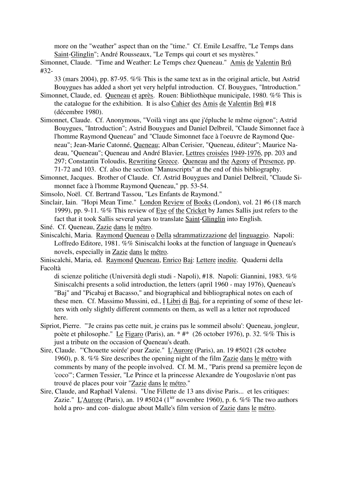more on the "weather" aspect than on the "time." Cf. Emile Lesaffre, "Le Temps dans Saint-Glinglin"; André Rousseaux, "Le Temps qui court et ses mystères."

Simonnet, Claude. "Time and Weather: Le Temps chez Queneau." Amis de Valentin Brû #32-

33 (mars 2004), pp. 87-95. %% This is the same text as in the original article, but Astrid Bouygues has added a short yet very helpful introduction. Cf. Bouygues, "Introduction."

- Simonnet, Claude, ed. Queneau et après. Rouen: Bibliothèque municipale, 1980. %% This is the catalogue for the exhibition. It is also Cahier des Amis de Valentin Brû #18 (décembre 1980).
- Simonnet, Claude. Cf. Anonymous, "Voilà vingt ans que j'épluche le même oignon"; Astrid Bouygues, "Introduction"; Astrid Bouygues and Daniel Delbreil, "Claude Simonnet face à l'homme Raymond Queneau" and "Claude Simonnet face à l'oeuvre de Raymond Queneau"; Jean-Marie Catonné, Queneau; Alban Cerisier, "Queneau, éditeur"; Maurice Nadeau, "Queneau"; Queneau and André Blavier, Lettres croisées 1949-1976, pp. 203 and 297; Constantin Toloudis, Rewriting Greece. Queneau and the Agony of Presence, pp. 71-72 and 103. Cf. also the section "Manuscripts" at the end of this bibliography.
- Simonnet, Jacques. Brother of Claude. Cf. Astrid Bouygues and Daniel Delbreil, "Claude Simonnet face à l'homme Raymond Queneau," pp. 53-54.
- Simsolo, Noël. Cf. Bertrand Tassou, "Les Enfants de Raymond."
- Sinclair, Iain. "Hopi Mean Time." London Review of Books (London), vol. 21 #6 (18 march 1999), pp. 9-11. %% This review of Eye of the Cricket by James Sallis just refers to the fact that it took Sallis several years to translate Saint-Glinglin into English.
- Siné. Cf. Queneau, Zazie dans le métro.
- Siniscalchi, Maria. Raymond Queneau o Della sdrammatizzazione del linguaggio. Napoli: Loffredo Editore, 1981. %% Siniscalchi looks at the function of language in Queneau's novels, especially in Zazie dans le métro.
- Siniscalchi, Maria, ed. Raymond Queneau, Enrico Baj: Lettere inedite. Quaderni della Facoltà

di scienze politiche (Università degli studi - Napoli), #18. Napoli: Giannini, 1983. %% Siniscalchi presents a solid introduction, the letters (april 1960 - may 1976), Queneau's "Baj" and "Picabaj et Bacasso," and biographical and bibliographical notes on each of these men. Cf. Massimo Mussini, ed., I Libri di Baj, for a reprinting of some of these letters with only slightly different comments on them, as well as a letter not reproduced here.

- Sipriot, Pierre. "'Je crains pas cette nuit, je crains pas le sommeil absolu': Queneau, jongleur, poète et philosophe." Le Figaro (Paris), an. \* #\* (26 october 1976), p. 32. %% This is just a tribute on the occasion of Queneau's death.
- Sire, Claude. "'Chouette soirée' pour Zazie." L'Aurore (Paris), an. 19 #5021 (28 octobre 1960), p. 8. %% Sire describes the opening night of the film Zazie dans le métro with comments by many of the people involved. Cf. M. M., "Paris prend sa première leçon de 'coco'"; Carmen Tessier, "Le Prince et la princesse Alexandre de Yougoslavie n'ont pas trouvé de places pour voir "Zazie dans le métro."
- Sire, Claude, and Raphaël Valensi. "Une Fillette de 13 ans divise Paris... et les critiques: Zazie." L'Aurore (Paris), an. 19 #5024 ( $1^{ier}$  novembre 1960), p. 6. %% The two authors hold a pro- and con- dialogue about Malle's film version of Zazie dans le métro.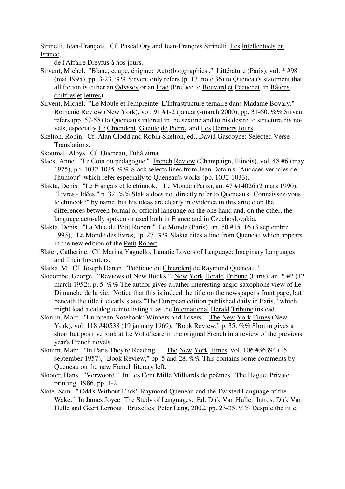Sirinelli, Jean-François. Cf. Pascal Ory and Jean-François Sirinelli, Les Intellectuels en France,

de l'Affaire Dreyfus à nos jours.

- Sirvent, Michel. "Blanc, coupe, énigme: 'Auto(bio)graphies'." Littérature (Paris), vol. \* #98 (mai 1995), pp. 3-23. %% Sirvent only refers (p. 13, note 36) to Queneau's statement that all fiction is either an Odyssey or an Iliad (Preface to Bouvard et Pécuchet, in Bâtons, chiffres et lettres).
- Sirvent, Michel. "Le Moule et l'empreinte: L'Infrastructure ternaire dans Madame Bovary." Romanic Review (New York), vol. 91 #1-2 (january-march 2000), pp. 31-60. %% Sirvent refers (pp. 57-58) to Queneau's interest in the sextine and to his desire to structure his novels, especially Le Chiendent, Gueule de Pierre, and Les Derniers Jours.
- Skelton, Robin. Cf. Alan Clodd and Robin Skelton, ed., David Gascoyne: Selected Verse Translations.
- Skoumal, Aloys. Cf. Queneau, Tuhá zima.
- Slack, Anne. "Le Coin du pédagogue." French Review (Champaign, Illinois), vol. 48 #6 (may 1975), pp. 1032-1035. %% Slack selects lines from Jean Datain's "Audaces verbales de l'humour" which refer especially to Queneau's works (pp. 1032-1033).
- Slakta, Denis. "Le Français et le chinook." Le Monde (Paris), an. 47 #14026 (2 mars 1990), "Livres - Idées," p. 32. %% Slakta does not directly refer to Queneau's "Connaissez-vous le chinook?" by name, but his ideas are clearly in evidence in this article on the differences between formal or official language on the one hand and, on the other, the language actu-ally spoken or used both in France and in Czechoslovakia.
- Slakta, Denis. "La Mue du Petit Robert." Le Monde (Paris), an. 50 #15116 (3 septembre 1993), "Le Monde des livres," p. 27. %% Slakta cites a line from Queneau which appears in the new edition of the Petit Robert.
- Slater, Catherine. Cf. Marina Yaguello, Lunatic Lovers of Language: Imaginary Languages and Their Inventors.
- Slatka, M. Cf. Joseph Danan, "Poétique du Chiendent de Raymond Queneau."
- Slocombe, George. "Reviews of New Books." New York Herald Tribune (Paris), an. \* #\* (12 march 1952), p. 5. %% The author gives a rather interesting anglo-saxophone view of Le Dimanche de la vie. Notice that this is indeed the title on the newspaper's front page, but beneath the title it clearly states "The European edition published daily in Paris," which might lead a catalogue into listing it as the International Herald Tribune instead.
- Slonim, Marc. "European Notebook: Winners and Losers." The New York Times (New York), vol. 118 #40538 (19 january 1969), "Book Review," p. 35. %% Slonim gives a short but positive look at Le Vol d'Icare in the original French in a review of the previous year's French novels.
- Slonim, Marc. "In Paris They're Reading..." The New York Times, vol. 106 #36394 (15 september 1957), "Book Review," pp. 5 and  $\overline{28. \% \% }$  This contains some comments by Queneau on the new French literary left.
- Slooter, Hans. "Vorwoord." In Les Cent Mille Milliards de poèmes. The Hague: Private printing, 1986, pp. 1-2.
- Slote, Sam. "'Odd's Without Ends': Raymond Queneau and the Twisted Language of the Wake." In James Joyce: The Study of Languages. Ed. Dirk Van Hulle. Intros. Dirk Van Hulle and Geert Lernout. Bruxelles: Peter Lang, 2002, pp. 23-35. %% Despite the title,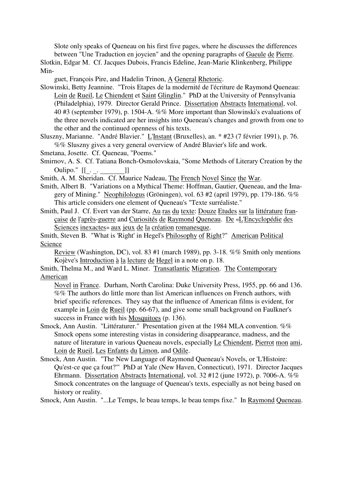Slote only speaks of Queneau on his first five pages, where he discusses the differences between "Une Traduction en joycien" and the opening paragraphs of Gueule de Pierre.

Slotkin, Edgar M. Cf. Jacques Dubois, Francis Edeline, Jean-Marie Klinkenberg, Philippe Min-

guet, François Pire, and Hadelin Trinon, A General Rhetoric.

- Slowinski, Betty Jeannine. "Trois Etapes de la modernité de l'écriture de Raymond Queneau: Loin de Rueil, Le Chiendent et Saint Glinglin." PhD at the University of Pennsylvania (Philadelphia), 1979. Director Gerald Prince. Dissertation Abstracts International, vol. 40 #3 (september 1979), p. 1504-A. %% More important than Slowinski's evaluations of the three novels indicated are her insights into Queneau's changes and growth from one to the other and the continued openness of his texts.
- Sluszny, Marianne. "André Blavier." L'Instant (Bruxelles), an. \* #23 (7 février 1991), p. 76. %% Sluszny gives a very general overview of André Blavier's life and work.
- Smetana, Josette. Cf. Queneau, "Poems."
- Smirnov, A. S. Cf. Tatiana Bonch-Osmolovskaia, "Some Methods of Literary Creation by the
- Oulipo."  $[[\__. \_ . ]]$ <br>Smith, A. M. Sheridan. Cf. Maurice Nadeau, The French Novel Since the War.
- Smith, Albert B. "Variations on a Mythical Theme: Hoffman, Gautier, Queneau, and the Imagery of Mining." Neophilologus (Gröningen), vol. 63 #2 (april 1979), pp. 179-186. %% This article considers one element of Queneau's "Texte surréaliste."
- Smith, Paul J. Cf. Evert van der Starre, Au ras du texte: Douze Etudes sur la littérature française de l'après-guerre and Curiosités de Raymond Queneau. De «L'Encyclopédie des Sciences inexactes» aux jeux de la création romanesque.

Smith, Steven B. "What is 'Right' in Hegel's Philosophy of Right?" American Political Science

Review (Washington, DC), vol. 83 #1 (march 1989), pp. 3-18. %% Smith only mentions Kojève's Introduction à la lecture de Hegel in a note on p. 18.

Smith, Thelma M., and Ward L. Miner. Transatlantic Migration. The Contemporary American

Novel in France. Durham, North Carolina: Duke University Press, 1955, pp. 66 and 136. %% The authors do little more than list American influences on French authors, with brief specific references. They say that the influence of American films is evident, for example in Loin de Rueil (pp. 66-67), and give some small background on Faulkner's success in France with his Mosquitoes (p. 136).

- Smock, Ann Austin. "Littératurer." Presentation given at the 1984 MLA convention. %% Smock opens some interesting vistas in considering disappearance, madness, and the nature of literature in various Queneau novels, especially Le Chiendent, Pierrot mon ami, Loin de Rueil, Les Enfants du Limon, and Odile.
- Smock, Ann Austin. "The New Language of Raymond Queneau's Novels, or 'L'Histoire: Qu'est-ce que ça fout?'" PhD at Yale (New Haven, Connecticut), 1971. Director Jacques Ehrmann. Dissertation Abstracts International, vol. 32 #12 (june 1972), p. 7006-A. %% Smock concentrates on the language of Queneau's texts, especially as not being based on history or reality.

Smock, Ann Austin. "...Le Temps, le beau temps, le beau temps fixe." In Raymond Queneau.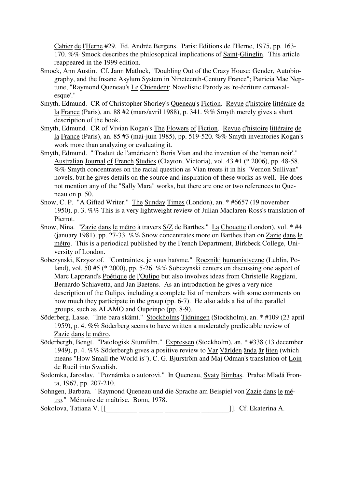Cahier de l'Herne #29. Ed. Andrée Bergens. Paris: Editions de l'Herne, 1975, pp. 163- 170. %% Smock describes the philosophical implications of Saint-Glinglin. This article reappeared in the 1999 edition.

- Smock, Ann Austin. Cf. Jann Matlock, "Doubling Out of the Crazy House: Gender, Autobiography, and the Insane Asylum System in Nineteenth-Century France"; Patricia Mae Neptune, "Raymond Queneau's Le Chiendent: Novelistic Parody as 're-écriture carnavalesque'."
- Smyth, Edmund. CR of Christopher Shorley's Queneau's Fiction. Revue d'histoire littéraire de la France (Paris), an. 88 #2 (mars/avril 1988), p. 341. %% Smyth merely gives a short description of the book.
- Smyth, Edmund. CR of Vivian Kogan's The Flowers of Fiction. Revue d'histoire littéraire de la France (Paris), an. 85 #3 (mai-juin 1985), pp. 519-520. %% Smyth inventories Kogan's work more than analyzing or evaluating it.
- Smyth, Edmund. "'Traduit de l'américain': Boris Vian and the invention of the 'roman noir'." Australian Journal of French Studies (Clayton, Victoria), vol. 43 #1 (\* 2006), pp. 48-58. %% Smyth concentrates on the racial question as Vian treats it in his "Vernon Sullivan" novels, but he gives details on the source and inspiration of these works as well. He does not mention any of the "Sally Mara" works, but there are one or two references to Queneau on p. 50.
- Snow, C. P. "A Gifted Writer." The Sunday Times (London), an. \* #6657 (19 november 1950), p. 3. %% This is a very lightweight review of Julian Maclaren-Ross's translation of Pierrot.
- Snow, Nina. "Zazie dans le métro à travers S/Z de Barthes." La Chouette (London), vol. \* #4 (january 1981), pp. 27-33. %% Snow concentrates more on Barthes than on Zazie dans le métro. This is a periodical published by the French Department, Birkbeck College, University of London.
- Sobczynski, Krzysztof. "Contraintes, je vous haïsme." Roczniki humanistyczne (Lublin, Poland), vol. 50 #5 (\* 2000), pp. 5-26. %% Sobczynski centers on discussing one aspect of Marc Lapprand's Poétique de l'Oulipo but also involves ideas from Christelle Reggiani, Bernardo Schiavetta, and Jan Baetens. As an introduction he gives a very nice description of the Oulipo, including a complete list of members with some comments on how much they participate in the group (pp. 6-7). He also adds a list of the parallel groups, such as ALAMO and Oupeinpo (pp. 8-9).
- Söderberg, Lasse. "Inte bara skämt." Stockholms Tidningen (Stockholm), an. \* #109 (23 april 1959), p. 4. %% Söderberg seems to have written a moderately predictable review of Zazie dans le métro.
- Söderbergh, Bengt. "Patologisk Stumfilm." Expressen (Stockholm), an. \* #338 (13 december 1949), p. 4. %% Söderbergh gives a positive review to Var Världen ända är liten (which means "How Small the World is"), C. G. Bjurström and Maj Odman's translation of Loin de Rueil into Swedish.
- Sodomka, Jaroslav. "Poznámka o autorovi." In Queneau, Svaty Bimbas. Praha: Mladá Fronta, 1967, pp. 207-210.
- Sohngen, Barbara. "Raymond Queneau und die Sprache am Beispiel von Zazie dans le métro." Mémoire de maîtrise. Bonn, 1978.
- Sokolova, Tatiana V. [[\_\_\_\_\_\_\_\_\_ \_\_\_\_\_\_\_ \_\_\_\_\_\_\_\_\_\_ \_\_\_\_\_\_\_\_]]. Cf. Ekaterina A.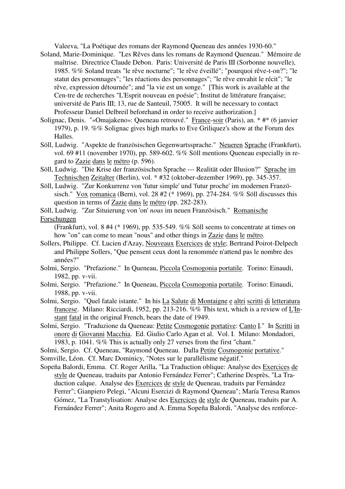Valeeva, "La Poétique des romans der Raymond Queneau des années 1930-60."

- Soland, Marie-Dominique. "Les Rêves dans les romans de Raymond Queneau." Mémoire de maîtrise. Directrice Claude Debon. Paris: Université de Paris III (Sorbonne nouvelle), 1985. %% Soland treats "le rêve nocturne"; "le rêve éveillé"; "pourquoi rêve-t-on?"; "le statut des personnages"; "les réactions des personnages"; "le rêve envahit le récit"; "le rêve, expression détournée"; and "la vie est un songe." [This work is available at the Cen-tre de recherches "L'Esprit nouveau en poésie"; Institut de littérature française; université de Paris III; 13, rue de Santeuil, 75005. It will be necessary to contact Professeur Daniel Delbreil beforehand in order to receive authorization.]
- Solignac, Denis. "«Omajakeno»: Queneau retrouvé." France-soir (Paris), an. \* #\* (6 janvier 1979), p. 19. %% Solignac gives high marks to Eve Griliquez's show at the Forum des Halles.
- Söll, Ludwig. "Aspekte de französischen Gegenwartssprache." Neueren Sprache (Frankfurt), vol. 69 #11 (november 1970), pp. 589-602. %% Söll mentions Queneau especially in regard to Zazie dans le métro (p. 596).
- Söll, Ludwig. "Die Krise der französischen Sprache --- Realität oder Illusion?" Sprache im Technischen Zeitalter (Berlin), vol. \* #32 (oktober-dezember 1969), pp. 345-357.
- Söll, Ludwig. "Zur Konkurrenz von 'futur simple' und 'futur proche' im modernen Französisch." Vox romanica (Bern), vol. 28 #2 (\* 1969), pp. 274-284. %% Söll discusses this question in terms of Zazie dans le métro (pp. 282-283).
- Söll, Ludwig. "Zur Situierung von 'on' *nous* im neuen Französisch." Romanische Forschungen

(Frankfurt), vol. 8 #4 (\* 1969), pp. 535-549. %% Söll seems to concentrate at times on how "on" can come to mean "nous" and other things in Zazie dans le métro.

- Sollers, Philippe. Cf. Lucien d'Azay, Nouveaux Exercices de style; Bertrand Poirot-Delpech and Philippe Sollers, "Que pensent ceux dont la renommée n'attend pas le nombre des années?"
- Solmi, Sergio. "Prefazione." In Queneau, Piccola Cosmogonia portatile. Torino: Einaudi, 1982, pp. v-vii.
- Solmi, Sergio. "Prefazione." In Queneau, Piccola Cosmogonia portatile. Torino: Einaudi, 1988, pp. v-vii.
- Solmi, Sergio. "Quel fatale istante." In his La Salute di Montaigne e altri scritti di letteratura francese. Milano: Ricciardi, 1952, pp. 213-216. %% This text, which is a review of  $L'm$ stant fatal in the original French, bears the date of 1949.
- Solmi, Sergio. "Traduzione da Queneau: Petite Cosmogonie portative: Canto I." In Scritti in onore di Giovanni Macchia. Ed. Giulio Carlo Agan et al. Vol. I. Milano: Mondadori, 1983, p. 1041. %% This is actually only 27 verses from the first "chant."
- Solmi, Sergio. Cf. Queneau, "Raymond Queneau. Dalla Petite Cosmogonie portative."

Somville, Léon. Cf. Marc Dominicy, "Notes sur le parallélisme négatif."

Sopeña Balordi, Emma. Cf. Roger Arilla, "La Traduction oblique: Analyse des Exercices de style de Queneau, traduits par Antonio Fernández Ferrer"; Catherine Desprès, "La Traduction calque. Analyse des Exercices de style de Queneau, traduits par Fernández Ferrer"; Gianpiero Pelegi, "Alcuni Esercizi di Raymond Queneau"; María Teresa Ramos Gómez, "La Transtylisation: Analyse des Exercices de style de Queneau, traduits par A. Fernández Ferrer"; Anita Rogero and A. Emma Sopeña Balordi, "Analyse des renforce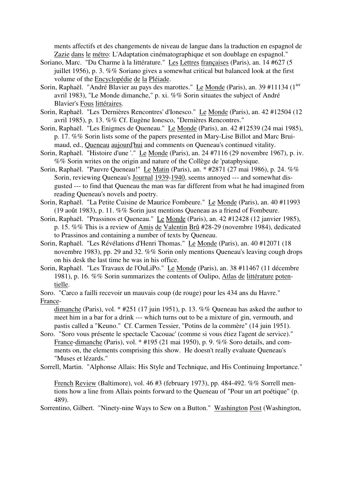ments affectifs et des changements de niveau de langue dans la traduction en espagnol de Zazie dans le métro: L'Adaptation cinématographique et son doublage en espagnol."

- Soriano, Marc. "Du Charme à la littérature." Les Lettres françaises (Paris), an. 14 #627 (5 juillet 1956), p. 3. %% Soriano gives a somewhat critical but balanced look at the first volume of the Encyclopédie de la Pléiade.
- Sorin, Raphaël. "André Blavier au pays des marottes." Le Monde (Paris), an. 39 #11134 (1<sup>ier</sup> avril 1983), "Le Monde dimanche," p. xi. %% Sorin situates the subject of André Blavier's Fous littéraires.
- Sorin, Raphaël. "Les 'Dernières Rencontres' d'Ionesco." Le Monde (Paris), an. 42 #12504 (12 avril 1985), p. 13. %% Cf. Eugène Ionesco, "Dernières Rencontres."
- Sorin, Raphaël. "Les Enigmes de Queneau." Le Monde (Paris), an. 42 #12539 (24 mai 1985), p. 17. %% Sorin lists some of the papers presented in Mary-Lise Billot and Marc Bruimaud, ed., Queneau aujourd'hui and comments on Queneau's continued vitality.
- Sorin, Raphaël. "Histoire d'une '." Le Monde (Paris), an. 24 #7116 (29 novembre 1967), p. iv. %% Sorin writes on the origin and nature of the Collège de 'pataphysique.
- Sorin, Raphaël. "Pauvre Queneau!" Le Matin (Paris), an. \* #2871 (27 mai 1986), p. 24. %% Sorin, reviewing Queneau's Journal 1939-1940, seems annoyed --- and somewhat disgusted --- to find that Queneau the man was far different from what he had imagined from reading Queneau's novels and poetry.
- Sorin, Raphaël. "La Petite Cuisine de Maurice Fombeure." Le Monde (Paris), an. 40 #11993 (19 août 1983), p. 11. %% Sorin just mentions Queneau as a friend of Fombeure.
- Sorin, Raphaël. "Prassinos et Queneau." Le Monde (Paris), an. 42 #12428 (12 janvier 1985), p. 15. %% This is a review of Amis de Valentin Brû #28-29 (novembre 1984), dedicated to Prassinos and containing a number of texts by Queneau.
- Sorin, Raphaël. "Les Révélations d'Henri Thomas." Le Monde (Paris), an. 40 #12071 (18 novembre 1983), pp. 29 and 32. %% Sorin only mentions Queneau's leaving cough drops on his desk the last time he was in his office.
- Sorin, Raphaël. "Les Travaux de l'OuLiPo." Le Monde (Paris), an. 38 #11467 (11 décembre 1981), p. 16. %% Sorin summarizes the contents of Oulipo, Atlas de littérature potentielle.
- Soro. "Carco a failli recevoir un mauvais coup (de rouge) pour les 434 ans du Havre." France-

dimanche (Paris), vol. \* #251 (17 juin 1951), p. 13. %% Queneau has asked the author to meet him in a bar for a drink --- which turns out to be a mixture of gin, vermouth, and pastis called a "Keuno." Cf. Carmen Tessier, "Potins de la commère" (14 juin 1951).

Soro. "Soro vous présente le spectacle 'Cacouac' (comme si vous étiez l'agent de service)." France-dimanche (Paris), vol. \* #195 (21 mai 1950), p. 9. %% Soro details, and comments on, the elements comprising this show. He doesn't really evaluate Queneau's "Muses et lézards."

Sorrell, Martin. "Alphonse Allais: His Style and Technique, and His Continuing Importance."

French Review (Baltimore), vol. 46 #3 (february 1973), pp. 484-492. %% Sorrell mentions how a line from Allais points forward to the Queneau of "Pour un art poétique" (p. 489).

Sorrentino, Gilbert. "Ninety-nine Ways to Sew on a Button." Washington Post (Washington,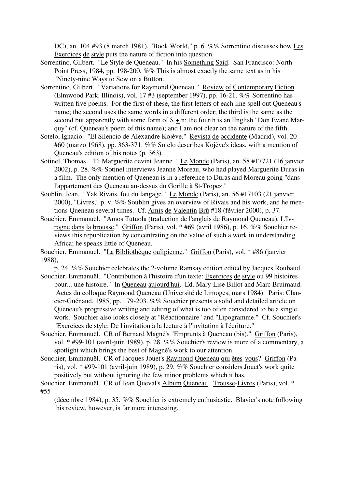DC), an. 104 #93 (8 march 1981), "Book World," p. 6. %% Sorrentino discusses how Les Exercices de style puts the nature of fiction into question.

- Sorrentino, Gilbert. "Le Style de Queneau." In his Something Said. San Francisco: North Point Press, 1984, pp. 198-200. %% This is almost exactly the same text as in his "Ninety-nine Ways to Sew on a Button."
- Sorrentino, Gilbert. "Variations for Raymond Queneau." Review of Contemporary Fiction (Elmwood Park, Illinois), vol. 17 #3 (september 1997), pp. 16-21. %% Sorrentino has written five poems. For the first of these, the first letters of each line spell out Queneau's name; the second uses the same words in a different order; the third is the same as the second but apparently with some form of  $S + n$ ; the fourth is an English "Don Evané Marquy" (cf. Queneau's poem of this name); and I am not clear on the nature of the fifth.
- Sotelo, Ignacio. "El Silencio de Alexandre Kojève." Revista de occidente (Madrid), vol. 20 #60 (marzo 1968), pp. 363-371. %% Sotelo describes Kojève's ideas, with a mention of Queneau's edition of his notes (p. 363).
- Sotinel, Thomas. "Et Marguerite devint Jeanne." Le Monde (Paris), an. 58 #17721 (16 janvier 2002), p. 28. %% Sotinel interviews Jeanne Moreau, who had played Marguerite Duras in a film. The only mention of Queneau is in a reference to Duras and Moreau going "dans l'appartement des Queneau au-dessus du Gorille à St-Tropez."
- Soublin, Jean. "Yak Rivais, fou du langage." Le Monde (Paris), an. 56 #17103 (21 janvier 2000), "Livres," p. v. %% Soublin gives an overview of Rivais and his work, and he mentions Queneau several times. Cf. Amis de Valentin Brû #18 (février 2000), p. 37.
- Souchier, Emmanuël. "Amos Tutuola (traduction de l'anglais de Raymond Queneau), L'Ivrogne dans la brousse." Griffon (Paris), vol. \* #69 (avril 1986), p. 16. %% Souchier reviews this republication by concentrating on the value of such a work in understanding Africa; he speaks little of Queneau.

Souchier, Emmanuël. "La Bibliothèque oulipienne." Griffon (Paris), vol. \* #86 (janvier 1988),

p. 24. %% Souchier celebrates the 2-volume Ramsay edition edited by Jacques Roubaud. Souchier, Emmanuël. "Contribution à l'histoire d'un texte: Exercices de style ou 99 histoires

- pour... une histoire." In Queneau aujourd'hui. Ed. Mary-Lise Billot and Marc Bruimaud. Actes du colloque Raymond Queneau (Université de Limoges, mars 1984). Paris: Clancier-Guénaud, 1985, pp. 179-203. %% Souchier presents a solid and detailed article on Queneau's progressive writing and editing of what is too often considered to be a single work. Souchier also looks closely at "Réactionnaire" and "Lipogramme." Cf. Souchier's "Exercices de style: De l'invitation à la lecture à l'invitation à l'écriture."
- Souchier, Emmanuël. CR of Bernard Magné's "Emprunts à Queneau (bis)." Griffon (Paris), vol. \* #99-101 (avril-juin 1989), p. 28. %% Souchier's review is more of a commentary, a spotlight which brings the best of Magné's work to our attention.
- Souchier, Emmanuël. CR of Jacques Jouet's Raymond Queneau qui êtes-vous? Griffon (Paris), vol. \* #99-101 (avril-juin 1989), p. 29. %% Souchier considers Jouet's work quite positively but without ignoring the few minor problems which it has.

Souchier, Emmanuël. CR of Jean Queval's Album Queneau. Trousse-Livres (Paris), vol. \* #55

(décembre 1984), p. 35. %% Souchier is extremely enthusiastic. Blavier's note following this review, however, is far more interesting.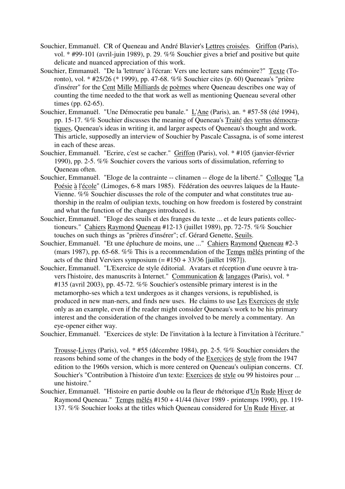- Souchier, Emmanuël. CR of Queneau and André Blavier's Lettres croisées. Griffon (Paris), vol. \* #99-101 (avril-juin 1989), p. 29. %% Souchier gives a brief and positive but quite delicate and nuanced appreciation of this work.
- Souchier, Emmanuël. "De la 'lettrure' à l'écran: Vers une lecture sans mémoire?" Texte (Toronto), vol. \* #25/26 (\* 1999), pp. 47-68. %% Souchier cites (p. 60) Queneau's "prière d'insérer" for the Cent Mille Milliards de poèmes where Queneau describes one way of counting the time needed to the that work as well as mentioning Queneau several other times (pp. 62-65).
- Souchier, Emmanuël. "Une Démocratie peu banale." L'Ane (Paris), an. \* #57-58 (été 1994), pp. 15-17. %% Souchier discusses the meaning of Queneau's Traité des vertus démocratiques, Queneau's ideas in writing it, and larger aspects of Queneau's thought and work. This article, supposedly an interview of Souchier by Pascale Cassagna, is of some interest in each of these areas.
- Souchier, Emmanuël. "Ecrire, c'est se cacher." Griffon (Paris), vol. \* #105 (janvier-février 1990), pp. 2-5. %% Souchier covers the various sorts of dissimulation, referring to Queneau often.
- Souchier, Emmanuël. "Eloge de la contrainte -- clinamen -- éloge de la liberté." Colloque "La Poésie à l'école" (Limoges, 6-8 mars 1985). Fédération des oeuvres laïques de la Haute-Vienne. %% Souchier discusses the role of the computer and what constitutes true authorship in the realm of oulipian texts, touching on how freedom is fostered by constraint and what the function of the changes introduced is.
- Souchier, Emmanuël. "Eloge des seuils et des franges du texte ... et de leurs patients collectioneurs." Cahiers Raymond Queneau #12-13 (juillet 1989), pp. 72-75. %% Souchier touches on such things as "prières d'insérer"; cf. Gérard Genette, Seuils.
- Souchier, Emmanuël. "Et une épluchure de moins, une ..." Cahiers Raymond Queneau #2-3 (mars 1987), pp. 65-68. %% This is a recommendation of the Temps mêlés printing of the acts of the third Verviers symposium  $(=\text{\#}150 + \text{33/}36)$  [juillet 1987]).
- Souchier, Emmanuël. "L'Exercice de style éditorial. Avatars et réception d'une oeuvre à travers l'histoire, des manuscrits à Internet." Communication & langages (Paris), vol. \* #135 (avril 2003), pp. 45-72. %% Souchier's ostensible primary interest is in the metamorpho-ses which a text undergoes as it changes versions, is republished, is produced in new man-ners, and finds new uses. He claims to use Les Exercices de style only as an example, even if the reader might consider Queneau's work to be his primary interest and the consideration of the changes involved to be merely a commentary. An eye-opener either way.
- Souchier, Emmanuël. "Exercices de style: De l'invitation à la lecture à l'invitation à l'écriture."

Trousse-Livres (Paris), vol. \* #55 (décembre 1984), pp. 2-5. %% Souchier considers the reasons behind some of the changes in the body of the Exercices de style from the 1947 edition to the 1960s version, which is more centered on Queneau's oulipian concerns. Cf. Souchier's "Contribution à l'histoire d'un texte: Exercices de style ou 99 histoires pour ... une histoire."

Souchier, Emmanuël. "Histoire en partie double ou la fleur de rhétorique d'Un Rude Hiver de Raymond Queneau." Temps mêlés #150 + 41/44 (hiver 1989 - printemps 1990), pp. 119- 137. %% Souchier looks at the titles which Queneau considered for Un Rude Hiver, at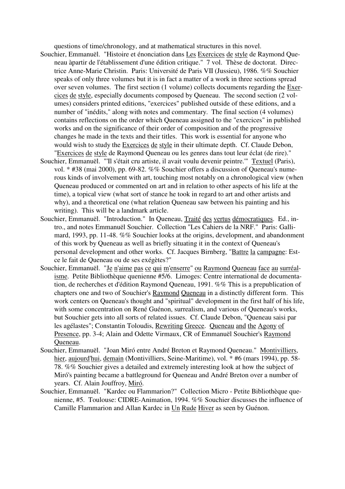questions of time/chronology, and at mathematical structures in this novel.

- Souchier, Emmanuël. "Histoire et énonciation dans Les Exercices de style de Raymond Queneau àpartir de l'établissement d'une édition critique." 7 vol. Thèse de doctorat. Directrice Anne-Marie Christin. Paris: Université de Paris VII (Jussieu), 1986. %% Souchier speaks of only three volumes but it is in fact a matter of a work in three sections spread over seven volumes. The first section (1 volume) collects documents regarding the Exercices de style, especially documents composed by Queneau. The second section (2 volumes) considers printed editions, "exercices" published outside of these editions, and a number of "inédits," along with notes and commentary. The final section (4 volumes) contains reflections on the order which Queneau assigned to the "exercices" in published works and on the significance of their order of composition and of the progressive changes he made in the texts and their titles. This work is essential for anyone who would wish to study the Exercices de style in their ultimate depth. Cf. Claude Debon, "Exercices de style de Raymond Queneau ou les genres dans tout leur éclat (de rire)."
- Souchier, Emmanuël. "'Il s'était cru artiste, il avait voulu devenir peintre.'" Textuel (Paris), vol. \* #38 (mai 2000), pp. 69-82. %% Souchier offers a discussion of Queneau's numerous kinds of involvement with art, touching most notably on a chronological view (when Queneau produced or commented on art and in relation to other aspects of his life at the time), a topical view (what sort of stance he took in regard to art and other artists and why), and a theoretical one (what relation Queneau saw between his painting and his writing). This will be a landmark article.
- Souchier, Emmanuël. "Introduction." In Queneau, Traité des vertus démocratiques. Ed., intro., and notes Emmanuël Souchier. Collection "Les Cahiers de la NRF." Paris: Gallimard, 1993, pp. 11-48. %% Souchier looks at the origins, development, and abandonment of this work by Queneau as well as briefly situating it in the context of Queneau's personal development and other works. Cf. Jacques Birnberg, "Battre la campagne: Estce le fait de Queneau ou de ses exégètes?"
- Souchier, Emmanuël. "Je n'aime pas ce qui m'enserre" ou Raymond Queneau face au surréalisme. Petite Bibliothèque quenienne #5/6. Limoges: Centre international de documentation, de recherches et d'édition Raymond Queneau, 1991. %% This is a prepublication of chapters one and two of Souchier's Raymond Queneau in a distinctly different form. This work centers on Queneau's thought and "spiritual" development in the first half of his life, with some concentration on René Guénon, surrealism, and various of Oueneau's works, but Souchier gets into all sorts of related issues. Cf. Claude Debon, "Queneau saisi par les agélastes"; Constantin Toloudis, Rewriting Greece. Queneau and the Agony of Presence, pp. 3-4; Alain and Odette Virmaux, CR of Emmanuël Souchier's Raymond Queneau.
- Souchier, Emmanuël. "Joan Miró entre André Breton et Raymond Queneau." Montivilliers, hier, aujourd'hui, demain (Montivilliers, Seine-Maritime), vol. \* #6 (mars 1994), pp. 58-78. %% Souchier gives a detailed and extremely interesting look at how the subject of Miró's painting became a battleground for Queneau and André Breton over a number of years. Cf. Alain Jouffroy, Miró.
- Souchier, Emmanuël. "Kardec ou Flammarion?" Collection Micro Petite Bibliothèque quenienne, #5. Toulouse: CIDRE-Animation, 1994. %% Souchier discusses the influence of Camille Flammarion and Allan Kardec in Un Rude Hiver as seen by Guénon.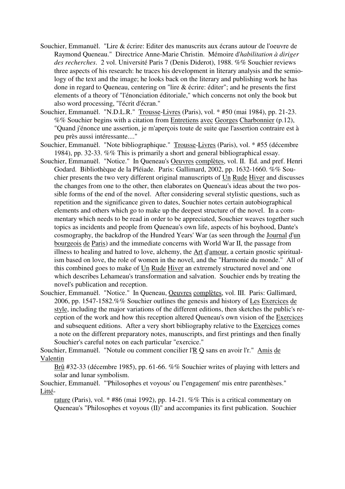- Souchier, Emmanuël. "Lire & écrire: Editer des manuscrits aux écrans autour de l'oeuvre de Raymond Queneau." Directrice Anne-Marie Christin. Mémoire d'*habilitation à diriger des recherches*. 2 vol. Université Paris 7 (Denis Diderot), 1988. %% Souchier reviews three aspects of his research: he traces his development in literary analysis and the semiology of the text and the image; he looks back on the literary and publishing work he has done in regard to Queneau, centering on "lire & écrire: éditer"; and he presents the first elements of a theory of "l'énonciation éditoriale," which concerns not only the book but also word processing, "l'écrit d'écran."
- Souchier, Emmanuël. "N.D.L.R." Trousse-Livres (Paris), vol. \* #50 (mai 1984), pp. 21-23. %% Souchier begins with a citation from Entretiens avec Georges Charbonnier (p.12), "Quand j'énonce une assertion, je m'aperçois toute de suite que l'assertion contraire est à peu près aussi intéressante...."
- Souchier, Emmanuël. "Note bibliographique." Trousse-Livres (Paris), vol. \* #55 (décembre 1984), pp. 32-33. %% This is primarily a short and general bibliographical essay.
- Souchier, Emmanuël. "Notice." In Queneau's Oeuvres complètes, vol. II. Ed. and pref. Henri Godard. Bibliothèque de la Pléiade. Paris: Gallimard, 2002, pp. 1632-1660. %% Souchier presents the two very different original manuscripts of Un Rude Hiver and discusses the changes from one to the other, then elaborates on Queneau's ideas about the two possible forms of the end of the novel. After considering several stylistic questions, such as repetition and the significance given to dates, Souchier notes certain autobiographical elements and others which go to make up the deepest structure of the novel. In a commentary which needs to be read in order to be appreciated, Souchier weaves together such topics as incidents and people from Queneau's own life, aspects of his boyhood, Dante's cosmography, the backdrop of the Hundred Years' War (as seen through the Journal d'un bourgeois de Paris) and the immediate concerns with World War II, the passage from illness to healing and hatred to love, alchemy, the Art d'amour, a certain gnostic spiritualism based on love, the role of women in the novel, and the "Harmonie du monde." All of this combined goes to make of Un Rude Hiver an extremely structured novel and one which describes Lehameau's transformation and salvation. Souchier ends by treating the novel's publication and reception.
- Souchier, Emmanuël. "Notice." In Queneau, Oeuvres complètes, vol. III. Paris: Gallimard, 2006, pp. 1547-1582.%% Souchier outlines the genesis and history of Les Exercices de style, including the major variations of the different editions, then sketches the public's reception of the work and how this reception altered Queneau's own vision of the Exercices and subsequent editions. After a very short bibliography relative to the Exercices comes a note on the different preparatory notes, manuscripts, and first printings and then finally Souchier's careful notes on each particular "exercice."

Souchier, Emmanuël. "Notule ou comment concilier l'R Q sans en avoir l'r." Amis de Valentin

Brû #32-33 (décembre 1985), pp. 61-66. %% Souchier writes of playing with letters and solar and lunar symbolism.

Souchier, Emmanuël. "'Philosophes et voyous' ou l''engagement' mis entre parenthèses." Litté-

rature (Paris), vol. \* #86 (mai 1992), pp. 14-21. %% This is a critical commentary on Queneau's "Philosophes et voyous (II)" and accompanies its first publication. Souchier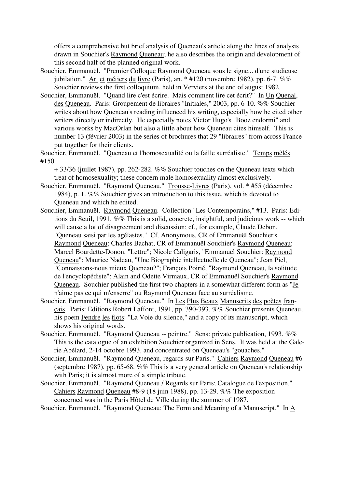offers a comprehensive but brief analysis of Queneau's article along the lines of analysis drawn in Souchier's Raymond Queneau; he also describes the origin and development of this second half of the planned original work.

- Souchier, Emmanuël. "Premier Colloque Raymond Queneau sous le signe... d'une studieuse jubilation." Art et métiers du livre (Paris), an. \* #120 (novembre 1982), pp. 6-7. %% Souchier reviews the first colloquium, held in Verviers at the end of august 1982.
- Souchier, Emmanuël. "Quand lire c'est écrire. Mais comment lire cet écrit?" In Un Quenal, des Queneau. Paris: Groupement de libraires "Initiales," 2003, pp. 6-10. %% Souchier writes about how Queneau's reading influenced his writing, especially how he cited other writers directly or indirectly. He especially notes Victor Hugo's "Booz endormi" and various works by MacOrlan but also a little about how Queneau cites himself. This is number 13 (février 2003) in the series of brochures that 29 "libraires" from across France put together for their clients.

Souchier, Emmanuël. "Queneau et l'homosexualité ou la faille surréaliste." Temps mêlés #150

 $+$  33/36 (juillet 1987), pp. 262-282. %% Souchier touches on the Oueneau texts which treat of homosexuality; these concern male homosexuality almost exclusively.

- Souchier, Emmanuël. "Raymond Queneau." Trousse-Livres (Paris), vol. \* #55 (décembre 1984), p. 1. %% Souchier gives an introduction to this issue, which is devoted to Queneau and which he edited.
- Souchier, Emmanuël. Raymond Queneau. Collection "Les Contemporains," #13. Paris: Editions du Seuil, 1991. %% This is a solid, concrete, insightful, and judicious work -- which will cause a lot of disagreement and discussion; cf., for example, Claude Debon, "Queneau saisi par les agélastes." Cf. Anonymous, CR of Emmanuël Souchier's Raymond Queneau; Charles Bachat, CR of Emmanuël Souchier's Raymond Queneau; Marcel Bourdette-Donon, "Lettre"; Nicole Caligaris, "Emmanuël Souchier: Raymond Queneau"; Maurice Nadeau, "Une Biographie intellectuelle de Queneau"; Jean Piel, "Connaissons-nous mieux Queneau?"; François Poirié, "Raymond Queneau, la solitude de l'encyclopédiste"; Alain and Odette Virmaux, CR of Emmanuël Souchier's Raymond Queneau. Souchier published the first two chapters in a somewhat different form as "Je n'aime pas ce qui m'enserre" ou Raymond Queneau face au surréalisme.
- Souchier, Emmanuël. "Raymond Queneau." In Les Plus Beaux Manuscrits des poètes français. Paris: Editions Robert Laffont, 1991, pp. 390-393. %% Souchier presents Queneau, his poem Fendre les flots: "La Voie du silence," and a copy of its manuscript, which shows his original words.
- Souchier, Emmanuël. "Raymond Queneau -- peintre." Sens: private publication, 1993. %% This is the catalogue of an exhibition Souchier organized in Sens. It was held at the Galerie Abélard, 2-14 octobre 1993, and concentrated on Queneau's "gouaches."
- Souchier, Emmanuël. "Raymond Queneau, regards sur Paris." Cahiers Raymond Queneau #6 (septembre 1987), pp. 65-68. %% This is a very general article on Queneau's relationship with Paris; it is almost more of a simple tribute.
- Souchier, Emmanuël. "Raymond Queneau / Regards sur Paris; Catalogue de l'exposition." Cahiers Raymond Queneau #8-9 (18 juin 1988), pp. 13-29. %% The exposition concerned was in the Paris Hôtel de Ville during the summer of 1987.
- Souchier, Emmanuël. "Raymond Queneau: The Form and Meaning of a Manuscript." In A